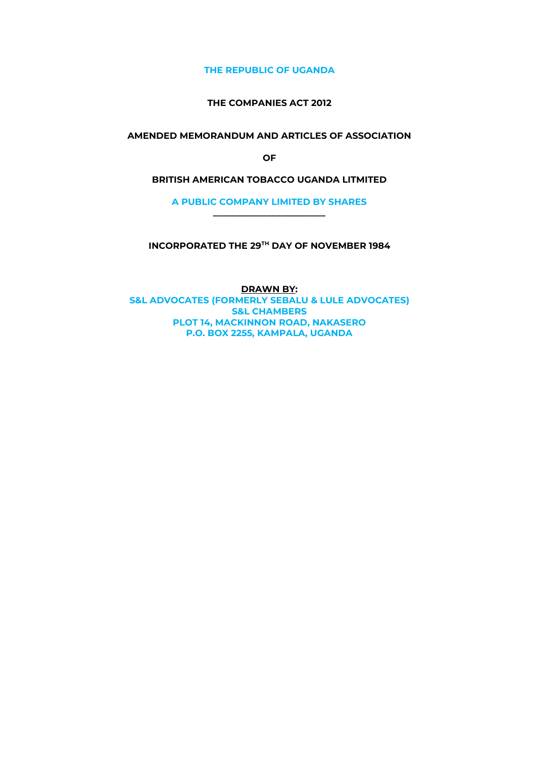**THE REPUBLIC OF UGANDA** 

**THE COMPANIES ACT 2012**

**AMENDED MEMORANDUM AND ARTICLES OF ASSOCIATION**

**OF**

**BRITISH AMERICAN TOBACCO UGANDA LITMITED**

**A PUBLIC COMPANY LIMITED BY SHARES \_\_\_\_\_\_\_\_\_\_\_\_\_\_\_\_\_\_\_\_\_\_\_\_\_**

**INCORPORATED THE 29TH DAY OF NOVEMBER 1984**

**DRAWN BY: S&L ADVOCATES (FORMERLY SEBALU & LULE ADVOCATES) S&L CHAMBERS PLOT 14, MACKINNON ROAD, NAKASERO P.O. BOX 2255, KAMPALA, UGANDA**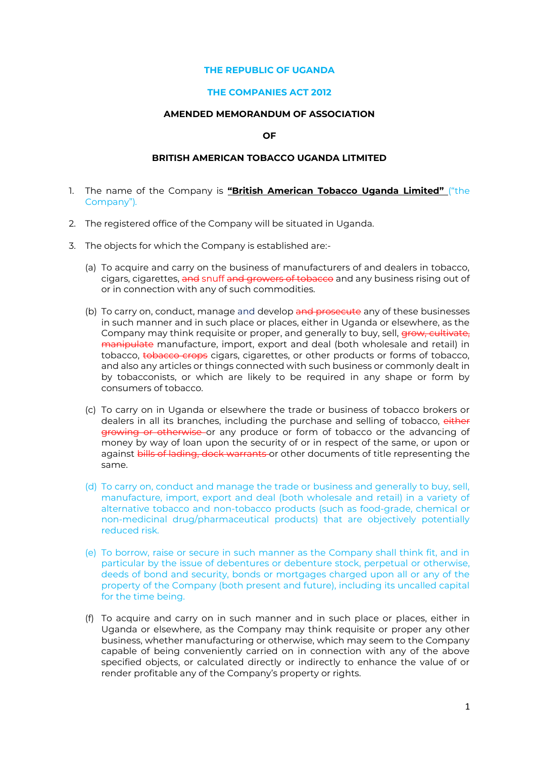### **THE REPUBLIC OF UGANDA**

### **THE COMPANIES ACT 2012**

### **AMENDED MEMORANDUM OF ASSOCIATION**

#### **OF**

### **BRITISH AMERICAN TOBACCO UGANDA LITMITED**

- 1. The name of the Company is **"British American Tobacco Uganda Limited"** ("the Company")*.*
- 2. The registered office of the Company will be situated in Uganda.
- 3. The objects for which the Company is established are:-
	- (a) To acquire and carry on the business of manufacturers of and dealers in tobacco, cigars, cigarettes, and snuff and growers of tobacco and any business rising out of or in connection with any of such commodities.
	- (b) To carry on, conduct, manage and develop and prosecute any of these businesses in such manner and in such place or places, either in Uganda or elsewhere, as the Company may think requisite or proper, and generally to buy, sell, arow, cultivate, manipulate manufacture, import, export and deal (both wholesale and retail) in tobacco, tobacco crops cigars, cigarettes, or other products or forms of tobacco, and also any articles or things connected with such business or commonly dealt in by tobacconists, or which are likely to be required in any shape or form by consumers of tobacco.
	- (c) To carry on in Uganda or elsewhere the trade or business of tobacco brokers or dealers in all its branches, including the purchase and selling of tobacco, either growing or otherwise or any produce or form of tobacco or the advancing of money by way of loan upon the security of or in respect of the same, or upon or against bills of lading, dock warrants or other documents of title representing the same.
	- (d) To carry on, conduct and manage the trade or business and generally to buy, sell, manufacture, import, export and deal (both wholesale and retail) in a variety of alternative tobacco and non-tobacco products (such as food-grade, chemical or non-medicinal drug/pharmaceutical products) that are objectively potentially reduced risk.
	- (e) To borrow, raise or secure in such manner as the Company shall think fit, and in particular by the issue of debentures or debenture stock, perpetual or otherwise, deeds of bond and security, bonds or mortgages charged upon all or any of the property of the Company (both present and future), including its uncalled capital for the time being.
	- (f) To acquire and carry on in such manner and in such place or places, either in Uganda or elsewhere, as the Company may think requisite or proper any other business, whether manufacturing or otherwise, which may seem to the Company capable of being conveniently carried on in connection with any of the above specified objects, or calculated directly or indirectly to enhance the value of or render profitable any of the Company's property or rights.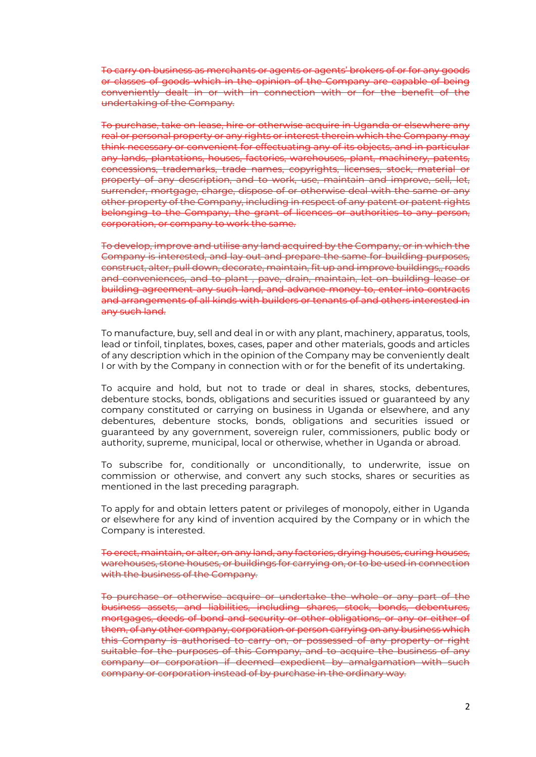To carry on business as merchants or agents or agents' brokers of or for any goods or classes of goods which in the opinion of the Company are capable of being conveniently dealt in or with in connection with or for the benefit of the undertaking of the Company.

To purchase, take on lease, hire or otherwise acquire in Uganda or elsewhere any real or personal property or any rights or interest therein which the Company may think necessary or convenient for effectuating any of its objects, and in particular any lands, plantations, houses, factories, warehouses, plant, machinery, patents, concessions, trademarks, trade names, copyrights, licenses, stock, material or property of any description, and to work, use, maintain and improve, sell, let, surrender, mortgage, charge, dispose of or otherwise deal with the same or any other property of the Company, including in respect of any patent or patent rights belonging to the Company, the grant of licences or authorities to any person, corporation, or company to work the same.

To develop, improve and utilise any land acquired by the Company, or in which the Company is interested, and lay out and prepare the same for building purposes, construct, alter, pull down, decorate, maintain, fit up and improve buildings,, roads and conveniences, and to plant , pave, drain, maintain, let on building lease or building agreement any such land, and advance money to, enter into contracts and arrangements of all kinds with builders or tenants of and others interested in any such land.

To manufacture, buy, sell and deal in or with any plant, machinery, apparatus, tools, lead or tinfoil, tinplates, boxes, cases, paper and other materials, goods and articles of any description which in the opinion of the Company may be conveniently dealt I or with by the Company in connection with or for the benefit of its undertaking.

To acquire and hold, but not to trade or deal in shares, stocks, debentures, debenture stocks, bonds, obligations and securities issued or guaranteed by any company constituted or carrying on business in Uganda or elsewhere, and any debentures, debenture stocks, bonds, obligations and securities issued or guaranteed by any government, sovereign ruler, commissioners, public body or authority, supreme, municipal, local or otherwise, whether in Uganda or abroad.

To subscribe for, conditionally or unconditionally, to underwrite, issue on commission or otherwise, and convert any such stocks, shares or securities as mentioned in the last preceding paragraph.

To apply for and obtain letters patent or privileges of monopoly, either in Uganda or elsewhere for any kind of invention acquired by the Company or in which the Company is interested.

To erect, maintain, or alter, on any land, any factories, drying houses, curing houses, warehouses, stone houses, or buildings for carrying on, or to be used in connection with the business of the Company.

To purchase or otherwise acquire or undertake the whole or any part of the business assets, and liabilities, including shares, stock, bonds, debentures, mortgages, deeds of bond and security or other obligations, or any or either of them, of any other company, corporation or person carrying on any business which this Company is authorised to carry on, or possessed of any property or right suitable for the purposes of this Company, and to acquire the business of any company or corporation if deemed expedient by amalgamation with such company or corporation instead of by purchase in the ordinary way.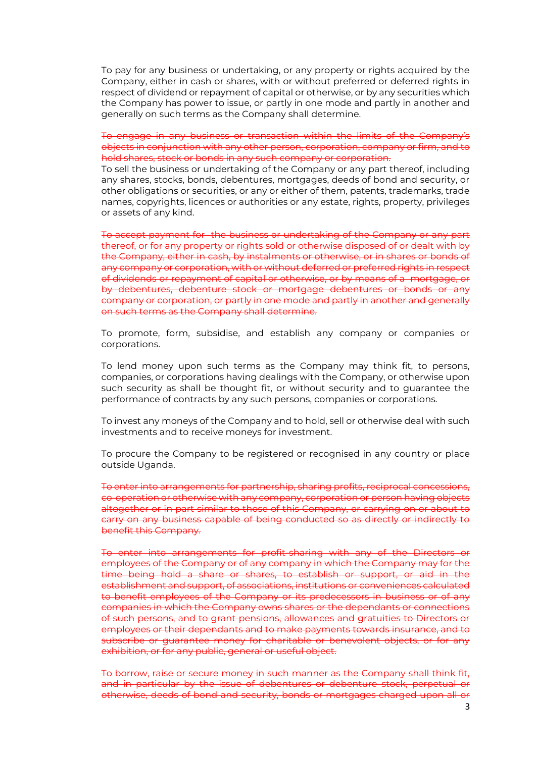To pay for any business or undertaking, or any property or rights acquired by the Company, either in cash or shares, with or without preferred or deferred rights in respect of dividend or repayment of capital or otherwise, or by any securities which the Company has power to issue, or partly in one mode and partly in another and generally on such terms as the Company shall determine.

To engage in any business or transaction within the limits of the Company's objects in conjunction with any other person, corporation, company or firm, and to hold shares, stock or bonds in any such company or corporation.

To sell the business or undertaking of the Company or any part thereof, including any shares, stocks, bonds, debentures, mortgages, deeds of bond and security, or other obligations or securities, or any or either of them, patents, trademarks, trade names, copyrights, licences or authorities or any estate, rights, property, privileges or assets of any kind.

To accept payment for the business or undertaking of the Company or any part thereof, or for any property or rights sold or otherwise disposed of or dealt with by the Company, either in cash, by instalments or otherwise, or in shares or bonds of any company or corporation, with or without deferred or preferred rights in respect of dividends or repayment of capital or otherwise, or by means of a mortgage, or by debentures, debenture stock or mortgage debentures or bonds or any company or corporation, or partly in one mode and partly in another and generally on such terms as the Company shall determine.

To promote, form, subsidise, and establish any company or companies or corporations.

To lend money upon such terms as the Company may think fit, to persons, companies, or corporations having dealings with the Company, or otherwise upon such security as shall be thought fit, or without security and to guarantee the performance of contracts by any such persons, companies or corporations.

To invest any moneys of the Company and to hold, sell or otherwise deal with such investments and to receive moneys for investment.

To procure the Company to be registered or recognised in any country or place outside Uganda.

To enter into arrangements for partnership, sharing profits, reciprocal concessions, co-operation or otherwise with any company, corporation or person having objects altogether or in part similar to those of this Company, or carrying on or about to carry on any business capable of being conducted so as directly or indirectly to benefit this Company.

To enter into arrangements for profit-sharing with any of the Directors or employees of the Company or of any company in which the Company may for the time being hold a share or shares, to establish or support, or aid in the establishment and support, of associations, institutions or conveniences calculated to benefit employees of the Company or its predecessors in business or of any companies in which the Company owns shares or the dependants or connections of such persons, and to grant pensions, allowances and gratuities to Directors or employees or their dependants and to make payments towards insurance, and to subscribe or guarantee money for charitable or benevolent objects, or for any exhibition, or for any public, general or useful object.

To borrow, raise or secure money in such manner as the Company shall think fit, and in particular by the issue of debentures or debenture stock, perpetual or otherwise, deeds of bond and security, bonds or mortgages charged upon all or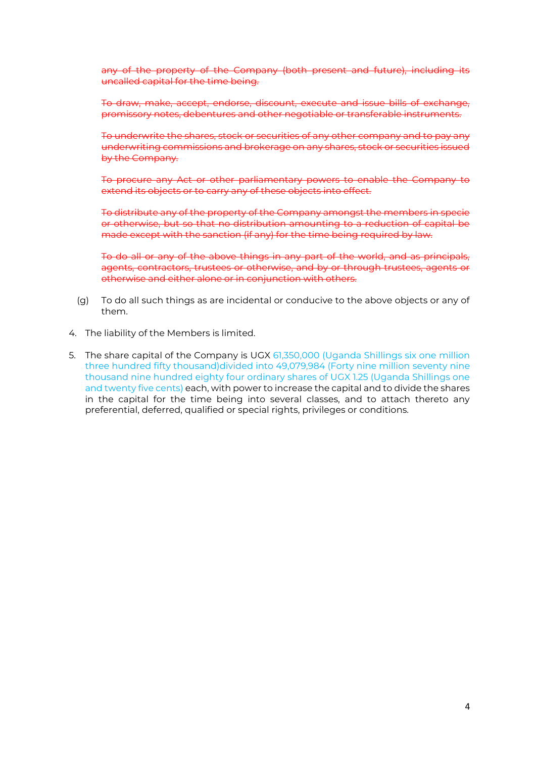any of the property of the Company (both present and future), including its uncalled capital for the time being.

To draw, make, accept, endorse, discount, execute and issue bills of exchange, promissory notes, debentures and other negotiable or transferable instruments.

To underwrite the shares, stock or securities of any other company and to pay any underwriting commissions and brokerage on any shares, stock or securities issued by the Company.

To procure any Act or other parliamentary powers to enable the Company to extend its objects or to carry any of these objects into effect.

To distribute any of the property of the Company amongst the members in specie or otherwise, but so that no distribution amounting to a reduction of capital be made except with the sanction (if any) for the time being required by law.

To do all or any of the above things in any part of the world, and as principals, agents, contractors, trustees or otherwise, and by or through trustees, agents or otherwise and either alone or in conjunction with others.

- (g) To do all such things as are incidental or conducive to the above objects or any of them.
- 4. The liability of the Members is limited.
- 5. The share capital of the Company is UGX 61,350,000 (Uganda Shillings six one million three hundred fifty thousand)divided into 49,079,984 (Forty nine million seventy nine thousand nine hundred eighty four ordinary shares of UGX 1.25 (Uganda Shillings one and twenty five cents) each, with power to increase the capital and to divide the shares in the capital for the time being into several classes, and to attach thereto any preferential, deferred, qualified or special rights, privileges or conditions.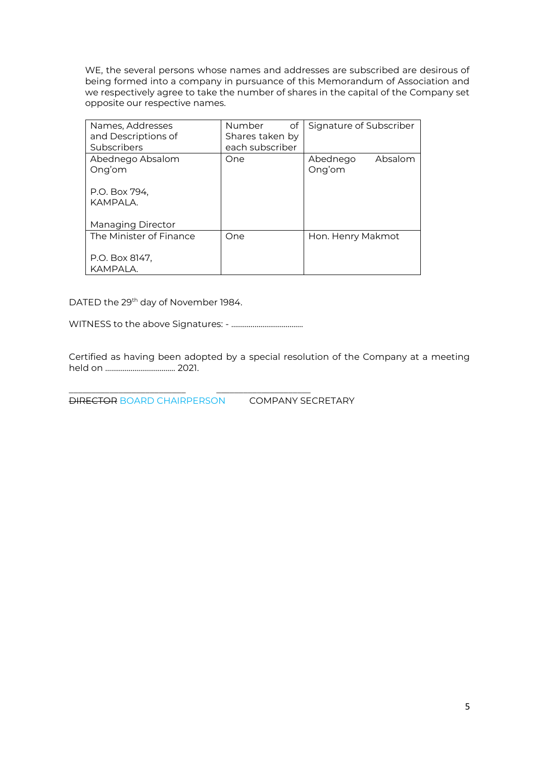WE, the several persons whose names and addresses are subscribed are desirous of being formed into a company in pursuance of this Memorandum of Association and we respectively agree to take the number of shares in the capital of the Company set opposite our respective names.

| Names, Addresses<br>and Descriptions of<br>Subscribers | Number<br>оf<br>Shares taken by<br>each subscriber | Signature of Subscriber       |
|--------------------------------------------------------|----------------------------------------------------|-------------------------------|
| Abednego Absalom<br>Ong'om                             | One                                                | Absalom<br>Abednego<br>Ong'om |
| P.O. Box 794,<br>KAMPALA.                              |                                                    |                               |
| Managing Director                                      |                                                    |                               |
| The Minister of Finance                                | One                                                | Hon. Henry Makmot             |
| P.O. Box 8147,<br>KAMPALA.                             |                                                    |                               |

DATED the 29<sup>th</sup> day of November 1984.

WITNESS to the above Signatures: - ……………………………….

\_\_\_\_\_\_\_\_\_\_\_\_\_\_\_\_\_\_\_\_\_\_\_\_\_\_ \_\_\_\_\_\_\_\_\_\_\_\_\_\_\_\_\_\_\_\_\_

Certified as having been adopted by a special resolution of the Company at a meeting held on ……………………………… 2021.

DIRECTOR BOARD CHAIRPERSON COMPANY SECRETARY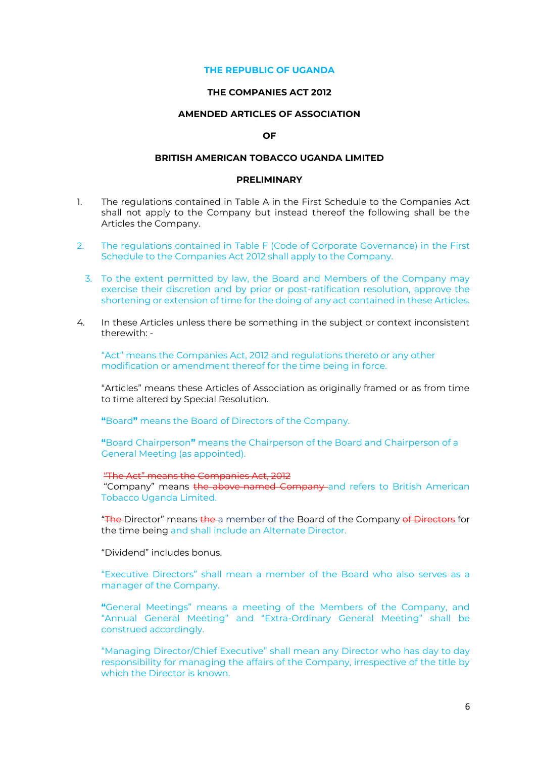### **THE REPUBLIC OF UGANDA**

#### **THE COMPANIES ACT 2012**

# **AMENDED ARTICLES OF ASSOCIATION**

#### **OF**

### **BRITISH AMERICAN TOBACCO UGANDA LIMITED**

#### **PRELIMINARY**

- 1. The regulations contained in Table A in the First Schedule to the Companies Act shall not apply to the Company but instead thereof the following shall be the Articles the Company.
- 2. The regulations contained in Table F (Code of Corporate Governance) in the First Schedule to the Companies Act 2012 shall apply to the Company.
	- 3. To the extent permitted by law, the Board and Members of the Company may exercise their discretion and by prior or post-ratification resolution, approve the shortening or extension of time for the doing of any act contained in these Articles.
- 4. In these Articles unless there be something in the subject or context inconsistent therewith: -

"Act" means the Companies Act, 2012 and regulations thereto or any other modification or amendment thereof for the time being in force.

"Articles" means these Articles of Association as originally framed or as from time to time altered by Special Resolution.

**"**Board**"** means the Board of Directors of the Company.

**"**Board Chairperson**"** means the Chairperson of the Board and Chairperson of a General Meeting (as appointed).

#### "The Act" means the Companies Act, 2012

"Company" means the above-named Company-and refers to British American Tobacco Uganda Limited.

"The-Director" means the a member of the Board of the Company of Directors for the time being and shall include an Alternate Director.

"Dividend" includes bonus.

"Executive Directors" shall mean a member of the Board who also serves as a manager of the Company.

**"**General Meetings" means a meeting of the Members of the Company, and "Annual General Meeting" and "Extra-Ordinary General Meeting" shall be construed accordingly.

"Managing Director/Chief Executive" shall mean any Director who has day to day responsibility for managing the affairs of the Company, irrespective of the title by which the Director is known.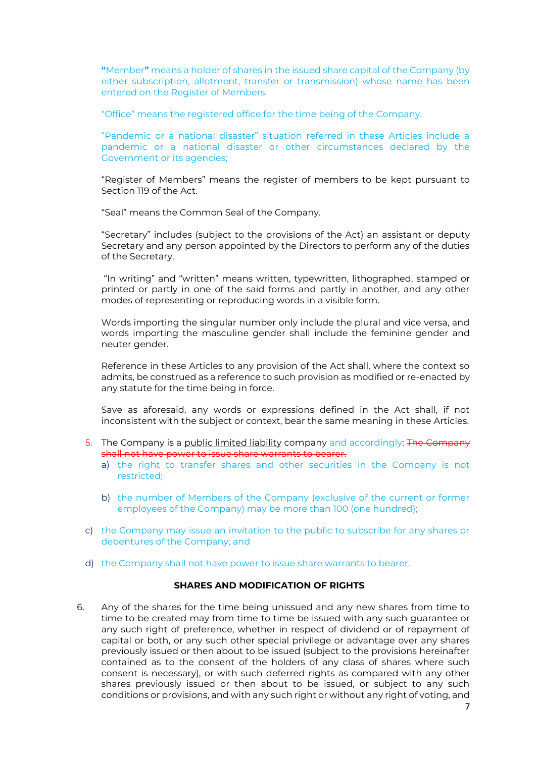**"**Member**"** means a holder of shares in the issued share capital of the Company (by either subscription, allotment, transfer or transmission) whose name has been entered on the Register of Members.

"Office" means the registered office for the time being of the Company.

"Pandemic or a national disaster" situation referred in these Articles include a pandemic or a national disaster or other circumstances declared by the Government or its agencies;

"Register of Members" means the register of members to be kept pursuant to Section 119 of the Act.

"Seal" means the Common Seal of the Company.

"Secretary" includes (subject to the provisions of the Act) an assistant or deputy Secretary and any person appointed by the Directors to perform any of the duties of the Secretary.

"In writing" and "written" means written, typewritten, lithographed, stamped or printed or partly in one of the said forms and partly in another, and any other modes of representing or reproducing words in a visible form.

Words importing the singular number only include the plural and vice versa, and words importing the masculine gender shall include the feminine gender and neuter gender.

Reference in these Articles to any provision of the Act shall, where the context so admits, be construed as a reference to such provision as modified or re-enacted by any statute for the time being in force.

Save as aforesaid, any words or expressions defined in the Act shall, if not inconsistent with the subject or context, bear the same meaning in these Articles.

- 5. The Company is a public limited liability company and accordingly: The Company shall not have power to issue share warrants to bearer.
	- a) the right to transfer shares and other securities in the Company is not restricted;
	- b) the number of Members of the Company (exclusive of the current or former employees of the Company) may be more than 100 (one hundred);
- c) the Company may issue an invitation to the public to subscribe for any shares or debentures of the Company; and
- d) the Company shall not have power to issue share warrants to bearer.

## **SHARES AND MODIFICATION OF RIGHTS**

6. Any of the shares for the time being unissued and any new shares from time to time to be created may from time to time be issued with any such guarantee or any such right of preference, whether in respect of dividend or of repayment of capital or both, or any such other special privilege or advantage over any shares previously issued or then about to be issued (subject to the provisions hereinafter contained as to the consent of the holders of any class of shares where such consent is necessary), or with such deferred rights as compared with any other shares previously issued or then about to be issued, or subject to any such conditions or provisions, and with any such right or without any right of voting, and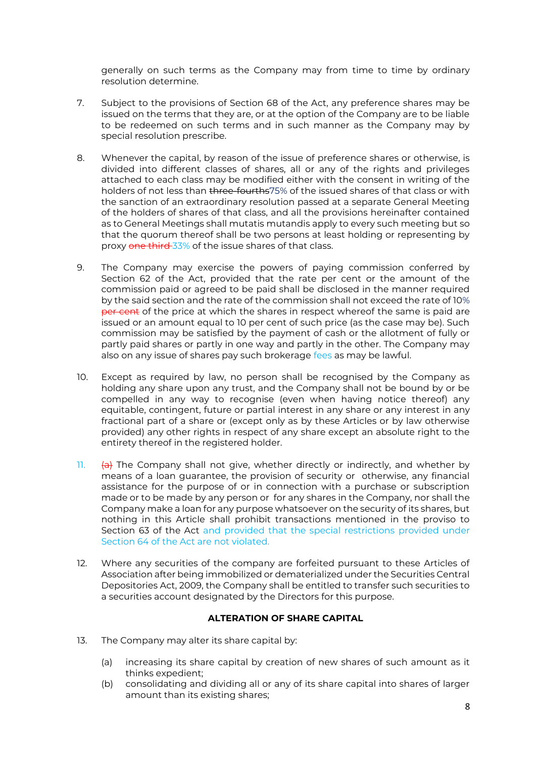generally on such terms as the Company may from time to time by ordinary resolution determine.

- 7. Subject to the provisions of Section 68 of the Act, any preference shares may be issued on the terms that they are, or at the option of the Company are to be liable to be redeemed on such terms and in such manner as the Company may by special resolution prescribe.
- 8. Whenever the capital, by reason of the issue of preference shares or otherwise, is divided into different classes of shares, all or any of the rights and privileges attached to each class may be modified either with the consent in writing of the holders of not less than three-fourths75% of the issued shares of that class or with the sanction of an extraordinary resolution passed at a separate General Meeting of the holders of shares of that class, and all the provisions hereinafter contained as to General Meetings shall mutatis mutandis apply to every such meeting but so that the quorum thereof shall be two persons at least holding or representing by proxy one third 33% of the issue shares of that class.
- 9. The Company may exercise the powers of paying commission conferred by Section 62 of the Act, provided that the rate per cent or the amount of the commission paid or agreed to be paid shall be disclosed in the manner required by the said section and the rate of the commission shall not exceed the rate of 10% per cent of the price at which the shares in respect whereof the same is paid are issued or an amount equal to 10 per cent of such price (as the case may be). Such commission may be satisfied by the payment of cash or the allotment of fully or partly paid shares or partly in one way and partly in the other. The Company may also on any issue of shares pay such brokerage fees as may be lawful.
- 10. Except as required by law, no person shall be recognised by the Company as holding any share upon any trust, and the Company shall not be bound by or be compelled in any way to recognise (even when having notice thereof) any equitable, contingent, future or partial interest in any share or any interest in any fractional part of a share or (except only as by these Articles or by law otherwise provided) any other rights in respect of any share except an absolute right to the entirety thereof in the registered holder.
- 11.  $\left\{\text{a}\right\}$  The Company shall not give, whether directly or indirectly, and whether by means of a loan guarantee, the provision of security or otherwise, any financial assistance for the purpose of or in connection with a purchase or subscription made or to be made by any person or for any shares in the Company, nor shall the Company make a loan for any purpose whatsoever on the security of its shares, but nothing in this Article shall prohibit transactions mentioned in the proviso to Section 63 of the Act and provided that the special restrictions provided under Section 64 of the Act are not violated.
- 12. Where any securities of the company are forfeited pursuant to these Articles of Association after being immobilized or dematerialized under the Securities Central Depositories Act, 2009, the Company shall be entitled to transfer such securities to a securities account designated by the Directors for this purpose.

# **ALTERATION OF SHARE CAPITAL**

- 13. The Company may alter its share capital by:
	- (a) increasing its share capital by creation of new shares of such amount as it thinks expedient;
	- (b) consolidating and dividing all or any of its share capital into shares of larger amount than its existing shares;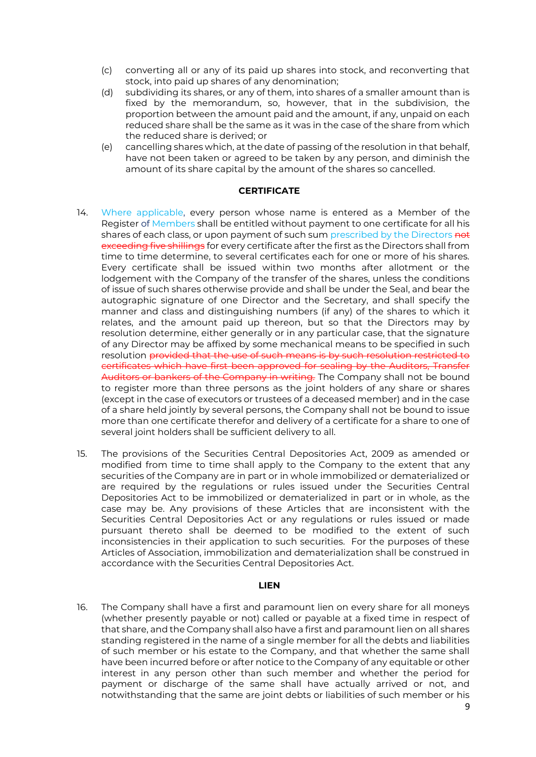- (c) converting all or any of its paid up shares into stock, and reconverting that stock, into paid up shares of any denomination;
- (d) subdividing its shares, or any of them, into shares of a smaller amount than is fixed by the memorandum, so, however, that in the subdivision, the proportion between the amount paid and the amount, if any, unpaid on each reduced share shall be the same as it was in the case of the share from which the reduced share is derived; or
- (e) cancelling shares which, at the date of passing of the resolution in that behalf, have not been taken or agreed to be taken by any person, and diminish the amount of its share capital by the amount of the shares so cancelled.

# **CERTIFICATE**

- 14. Where applicable, every person whose name is entered as a Member of the Register of Members shall be entitled without payment to one certificate for all his shares of each class, or upon payment of such sum prescribed by the Directors not exceeding five shillings for every certificate after the first as the Directors shall from time to time determine, to several certificates each for one or more of his shares. Every certificate shall be issued within two months after allotment or the lodgement with the Company of the transfer of the shares, unless the conditions of issue of such shares otherwise provide and shall be under the Seal, and bear the autographic signature of one Director and the Secretary, and shall specify the manner and class and distinguishing numbers (if any) of the shares to which it relates, and the amount paid up thereon, but so that the Directors may by resolution determine, either generally or in any particular case, that the signature of any Director may be affixed by some mechanical means to be specified in such resolution provided that the use of such means is by such resolution restricted to certificates which have first been approved for sealing by the Auditors, Transfer Auditors or bankers of the Company in writing. The Company shall not be bound to register more than three persons as the joint holders of any share or shares (except in the case of executors or trustees of a deceased member) and in the case of a share held jointly by several persons, the Company shall not be bound to issue more than one certificate therefor and delivery of a certificate for a share to one of several joint holders shall be sufficient delivery to all.
- 15. The provisions of the Securities Central Depositories Act, 2009 as amended or modified from time to time shall apply to the Company to the extent that any securities of the Company are in part or in whole immobilized or dematerialized or are required by the regulations or rules issued under the Securities Central Depositories Act to be immobilized or dematerialized in part or in whole, as the case may be. Any provisions of these Articles that are inconsistent with the Securities Central Depositories Act or any regulations or rules issued or made pursuant thereto shall be deemed to be modified to the extent of such inconsistencies in their application to such securities. For the purposes of these Articles of Association, immobilization and dematerialization shall be construed in accordance with the Securities Central Depositories Act.

#### **LIEN**

16. The Company shall have a first and paramount lien on every share for all moneys (whether presently payable or not) called or payable at a fixed time in respect of that share, and the Company shall also have a first and paramount lien on all shares standing registered in the name of a single member for all the debts and liabilities of such member or his estate to the Company, and that whether the same shall have been incurred before or after notice to the Company of any equitable or other interest in any person other than such member and whether the period for payment or discharge of the same shall have actually arrived or not, and notwithstanding that the same are joint debts or liabilities of such member or his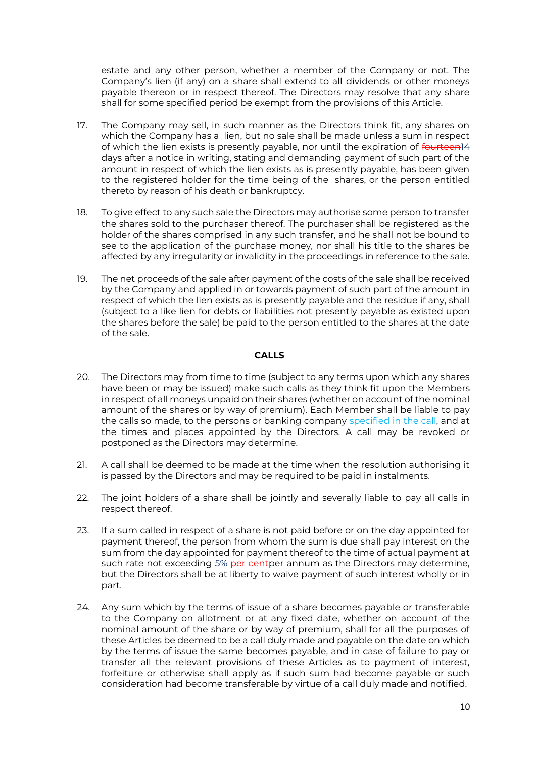estate and any other person, whether a member of the Company or not. The Company's lien (if any) on a share shall extend to all dividends or other moneys payable thereon or in respect thereof. The Directors may resolve that any share shall for some specified period be exempt from the provisions of this Article.

- 17. The Company may sell, in such manner as the Directors think fit, any shares on which the Company has a lien, but no sale shall be made unless a sum in respect of which the lien exists is presently payable, nor until the expiration of fourteen14 days after a notice in writing, stating and demanding payment of such part of the amount in respect of which the lien exists as is presently payable, has been given to the registered holder for the time being of the shares, or the person entitled thereto by reason of his death or bankruptcy.
- 18. To give effect to any such sale the Directors may authorise some person to transfer the shares sold to the purchaser thereof. The purchaser shall be registered as the holder of the shares comprised in any such transfer, and he shall not be bound to see to the application of the purchase money, nor shall his title to the shares be affected by any irregularity or invalidity in the proceedings in reference to the sale.
- 19. The net proceeds of the sale after payment of the costs of the sale shall be received by the Company and applied in or towards payment of such part of the amount in respect of which the lien exists as is presently payable and the residue if any, shall (subject to a like lien for debts or liabilities not presently payable as existed upon the shares before the sale) be paid to the person entitled to the shares at the date of the sale.

# **CALLS**

- 20. The Directors may from time to time (subject to any terms upon which any shares have been or may be issued) make such calls as they think fit upon the Members in respect of all moneys unpaid on their shares (whether on account of the nominal amount of the shares or by way of premium). Each Member shall be liable to pay the calls so made, to the persons or banking company specified in the call, and at the times and places appointed by the Directors. A call may be revoked or postponed as the Directors may determine.
- 21. A call shall be deemed to be made at the time when the resolution authorising it is passed by the Directors and may be required to be paid in instalments.
- 22. The joint holders of a share shall be jointly and severally liable to pay all calls in respect thereof.
- 23. If a sum called in respect of a share is not paid before or on the day appointed for payment thereof, the person from whom the sum is due shall pay interest on the sum from the day appointed for payment thereof to the time of actual payment at such rate not exceeding 5% per centper annum as the Directors may determine, but the Directors shall be at liberty to waive payment of such interest wholly or in part.
- 24. Any sum which by the terms of issue of a share becomes payable or transferable to the Company on allotment or at any fixed date, whether on account of the nominal amount of the share or by way of premium, shall for all the purposes of these Articles be deemed to be a call duly made and payable on the date on which by the terms of issue the same becomes payable, and in case of failure to pay or transfer all the relevant provisions of these Articles as to payment of interest, forfeiture or otherwise shall apply as if such sum had become payable or such consideration had become transferable by virtue of a call duly made and notified.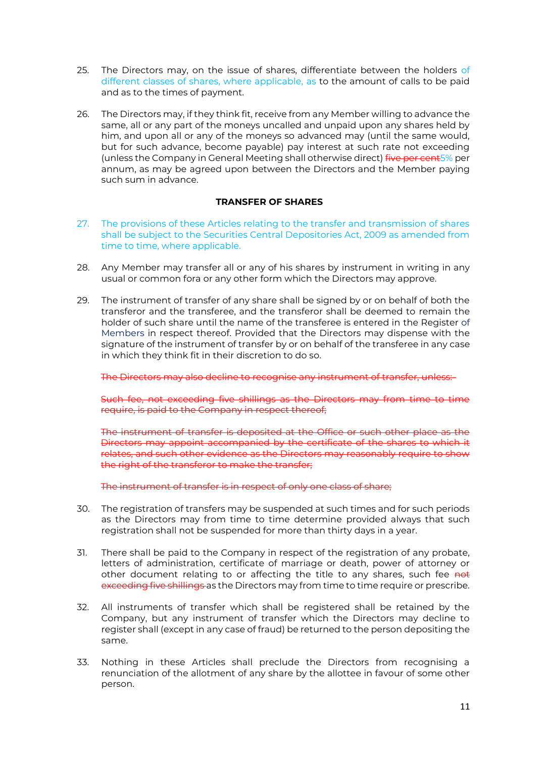- 25. The Directors may, on the issue of shares, differentiate between the holders of different classes of shares, where applicable, as to the amount of calls to be paid and as to the times of payment.
- 26. The Directors may, if they think fit, receive from any Member willing to advance the same, all or any part of the moneys uncalled and unpaid upon any shares held by him, and upon all or any of the moneys so advanced may (until the same would, but for such advance, become payable) pay interest at such rate not exceeding (unless the Company in General Meeting shall otherwise direct) five per cent5% per annum, as may be agreed upon between the Directors and the Member paying such sum in advance.

# **TRANSFER OF SHARES**

- 27. The provisions of these Articles relating to the transfer and transmission of shares shall be subject to the Securities Central Depositories Act, 2009 as amended from time to time, where applicable.
- 28. Any Member may transfer all or any of his shares by instrument in writing in any usual or common fora or any other form which the Directors may approve.
- 29. The instrument of transfer of any share shall be signed by or on behalf of both the transferor and the transferee, and the transferor shall be deemed to remain the holder of such share until the name of the transferee is entered in the Register of Members in respect thereof. Provided that the Directors may dispense with the signature of the instrument of transfer by or on behalf of the transferee in any case in which they think fit in their discretion to do so.

The Directors may also decline to recognise any instrument of transfer, unless:-

Such fee, not exceeding five shillings as the Directors may from time to time require, is paid to the Company in respect thereof;

The instrument of transfer is deposited at the Office or such other place as the Directors may appoint accompanied by the certificate of the shares to which it relates, and such other evidence as the Directors may reasonably require to show the right of the transferor to make the transfer;

The instrument of transfer is in respect of only one class of share;

- 30. The registration of transfers may be suspended at such times and for such periods as the Directors may from time to time determine provided always that such registration shall not be suspended for more than thirty days in a year.
- 31. There shall be paid to the Company in respect of the registration of any probate, letters of administration, certificate of marriage or death, power of attorney or other document relating to or affecting the title to any shares, such fee not exceeding five shillings as the Directors may from time to time require or prescribe.
- 32. All instruments of transfer which shall be registered shall be retained by the Company, but any instrument of transfer which the Directors may decline to register shall (except in any case of fraud) be returned to the person depositing the same.
- 33. Nothing in these Articles shall preclude the Directors from recognising a renunciation of the allotment of any share by the allottee in favour of some other person.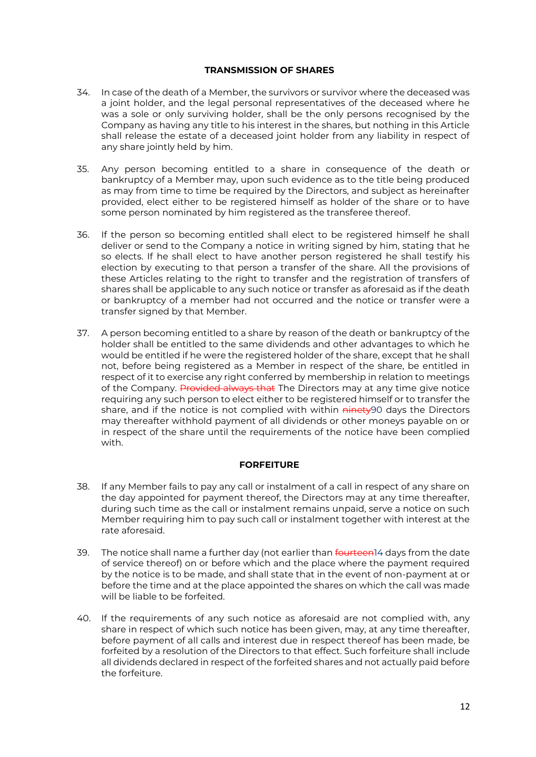# **TRANSMISSION OF SHARES**

- 34. In case of the death of a Member, the survivors or survivor where the deceased was a joint holder, and the legal personal representatives of the deceased where he was a sole or only surviving holder, shall be the only persons recognised by the Company as having any title to his interest in the shares, but nothing in this Article shall release the estate of a deceased joint holder from any liability in respect of any share jointly held by him.
- 35. Any person becoming entitled to a share in consequence of the death or bankruptcy of a Member may, upon such evidence as to the title being produced as may from time to time be required by the Directors, and subject as hereinafter provided, elect either to be registered himself as holder of the share or to have some person nominated by him registered as the transferee thereof.
- 36. If the person so becoming entitled shall elect to be registered himself he shall deliver or send to the Company a notice in writing signed by him, stating that he so elects. If he shall elect to have another person registered he shall testify his election by executing to that person a transfer of the share. All the provisions of these Articles relating to the right to transfer and the registration of transfers of shares shall be applicable to any such notice or transfer as aforesaid as if the death or bankruptcy of a member had not occurred and the notice or transfer were a transfer signed by that Member.
- 37. A person becoming entitled to a share by reason of the death or bankruptcy of the holder shall be entitled to the same dividends and other advantages to which he would be entitled if he were the registered holder of the share, except that he shall not, before being registered as a Member in respect of the share, be entitled in respect of it to exercise any right conferred by membership in relation to meetings of the Company. Provided always that The Directors may at any time give notice requiring any such person to elect either to be registered himself or to transfer the share, and if the notice is not complied with within ninety90 days the Directors may thereafter withhold payment of all dividends or other moneys payable on or in respect of the share until the requirements of the notice have been complied with.

# **FORFEITURE**

- 38. If any Member fails to pay any call or instalment of a call in respect of any share on the day appointed for payment thereof, the Directors may at any time thereafter, during such time as the call or instalment remains unpaid, serve a notice on such Member requiring him to pay such call or instalment together with interest at the rate aforesaid.
- 39. The notice shall name a further day (not earlier than fourteen<sup>14</sup> days from the date of service thereof) on or before which and the place where the payment required by the notice is to be made, and shall state that in the event of non-payment at or before the time and at the place appointed the shares on which the call was made will be liable to be forfeited.
- 40. If the requirements of any such notice as aforesaid are not complied with, any share in respect of which such notice has been given, may, at any time thereafter, before payment of all calls and interest due in respect thereof has been made, be forfeited by a resolution of the Directors to that effect. Such forfeiture shall include all dividends declared in respect of the forfeited shares and not actually paid before the forfeiture.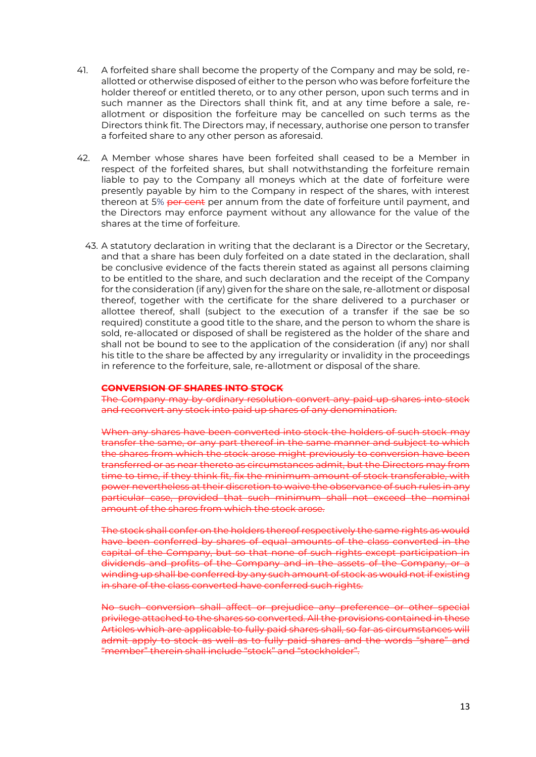- 41. A forfeited share shall become the property of the Company and may be sold, reallotted or otherwise disposed of either to the person who was before forfeiture the holder thereof or entitled thereto, or to any other person, upon such terms and in such manner as the Directors shall think fit, and at any time before a sale, reallotment or disposition the forfeiture may be cancelled on such terms as the Directors think fit. The Directors may, if necessary, authorise one person to transfer a forfeited share to any other person as aforesaid.
- 42. A Member whose shares have been forfeited shall ceased to be a Member in respect of the forfeited shares, but shall notwithstanding the forfeiture remain liable to pay to the Company all moneys which at the date of forfeiture were presently payable by him to the Company in respect of the shares, with interest thereon at 5% per cent per annum from the date of forfeiture until payment, and the Directors may enforce payment without any allowance for the value of the shares at the time of forfeiture.
	- 43. A statutory declaration in writing that the declarant is a Director or the Secretary, and that a share has been duly forfeited on a date stated in the declaration, shall be conclusive evidence of the facts therein stated as against all persons claiming to be entitled to the share, and such declaration and the receipt of the Company for the consideration (if any) given for the share on the sale, re-allotment or disposal thereof, together with the certificate for the share delivered to a purchaser or allottee thereof, shall (subject to the execution of a transfer if the sae be so required) constitute a good title to the share, and the person to whom the share is sold, re-allocated or disposed of shall be registered as the holder of the share and shall not be bound to see to the application of the consideration (if any) nor shall his title to the share be affected by any irregularity or invalidity in the proceedings in reference to the forfeiture, sale, re-allotment or disposal of the share.

### **CONVERSION OF SHARES INTO STOCK**

The Company may by ordinary resolution convert any paid up shares into stock and reconvert any stock into paid up shares of any denomination.

When any shares have been converted into stock the holders of such stock may transfer the same, or any part thereof in the same manner and subject to which the shares from which the stock arose might previously to conversion have been transferred or as near thereto as circumstances admit, but the Directors may from time to time, if they think fit, fix the minimum amount of stock transferable, with power nevertheless at their discretion to waive the observance of such rules in any particular case, provided that such minimum shall not exceed the nominal amount of the shares from which the stock arose.

The stock shall confer on the holders thereof respectively the same rights as would have been conferred by shares of equal amounts of the class converted in the capital of the Company, but so that none of such rights except participation in dividends and profits of the Company and in the assets of the Company, or a winding up shall be conferred by any such amount of stock as would not if existing in share of the class converted have conferred such rights.

No such conversion shall affect or prejudice any preference or other special privilege attached to the shares so converted. All the provisions contained in these Articles which are applicable to fully paid shares shall, so far as circumstances will admit apply to stock as well as to fully paid shares and the words "share" and "member" therein shall include "stock" and "stockholder".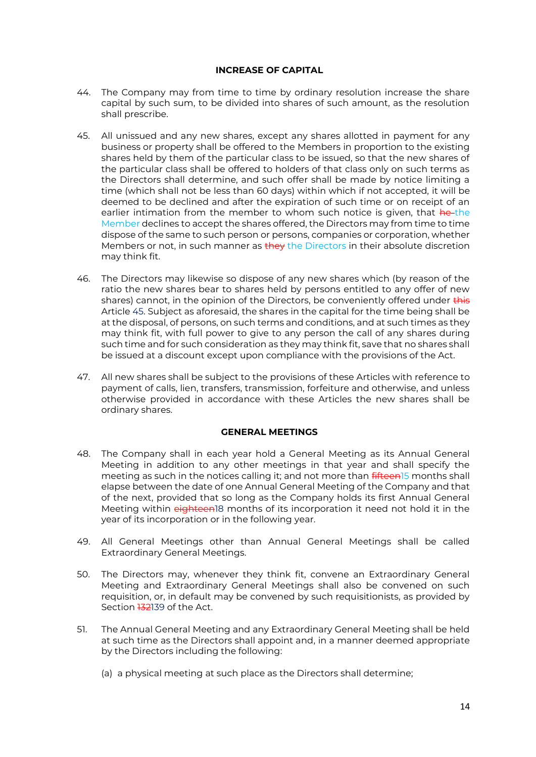# **INCREASE OF CAPITAL**

- 44. The Company may from time to time by ordinary resolution increase the share capital by such sum, to be divided into shares of such amount, as the resolution shall prescribe.
- 45. All unissued and any new shares, except any shares allotted in payment for any business or property shall be offered to the Members in proportion to the existing shares held by them of the particular class to be issued, so that the new shares of the particular class shall be offered to holders of that class only on such terms as the Directors shall determine, and such offer shall be made by notice limiting a time (which shall not be less than 60 days) within which if not accepted, it will be deemed to be declined and after the expiration of such time or on receipt of an earlier intimation from the member to whom such notice is given, that he the Member declines to accept the shares offered, the Directors may from time to time dispose of the same to such person or persons, companies or corporation, whether Members or not, in such manner as they the Directors in their absolute discretion may think fit.
- 46. The Directors may likewise so dispose of any new shares which (by reason of the ratio the new shares bear to shares held by persons entitled to any offer of new shares) cannot, in the opinion of the Directors, be conveniently offered under this Article 45. Subject as aforesaid, the shares in the capital for the time being shall be at the disposal, of persons, on such terms and conditions, and at such times as they may think fit, with full power to give to any person the call of any shares during such time and for such consideration as they may think fit, save that no shares shall be issued at a discount except upon compliance with the provisions of the Act.
- 47. All new shares shall be subject to the provisions of these Articles with reference to payment of calls, lien, transfers, transmission, forfeiture and otherwise, and unless otherwise provided in accordance with these Articles the new shares shall be ordinary shares.

# **GENERAL MEETINGS**

- 48. The Company shall in each year hold a General Meeting as its Annual General Meeting in addition to any other meetings in that year and shall specify the meeting as such in the notices calling it; and not more than **fifteen<sup>15</sup>** months shall elapse between the date of one Annual General Meeting of the Company and that of the next, provided that so long as the Company holds its first Annual General Meeting within eighteen<sup>18</sup> months of its incorporation it need not hold it in the year of its incorporation or in the following year.
- 49. All General Meetings other than Annual General Meetings shall be called Extraordinary General Meetings.
- 50. The Directors may, whenever they think fit, convene an Extraordinary General Meeting and Extraordinary General Meetings shall also be convened on such requisition, or, in default may be convened by such requisitionists, as provided by Section 132139 of the Act.
- 51. The Annual General Meeting and any Extraordinary General Meeting shall be held at such time as the Directors shall appoint and, in a manner deemed appropriate by the Directors including the following:
	- (a) a physical meeting at such place as the Directors shall determine;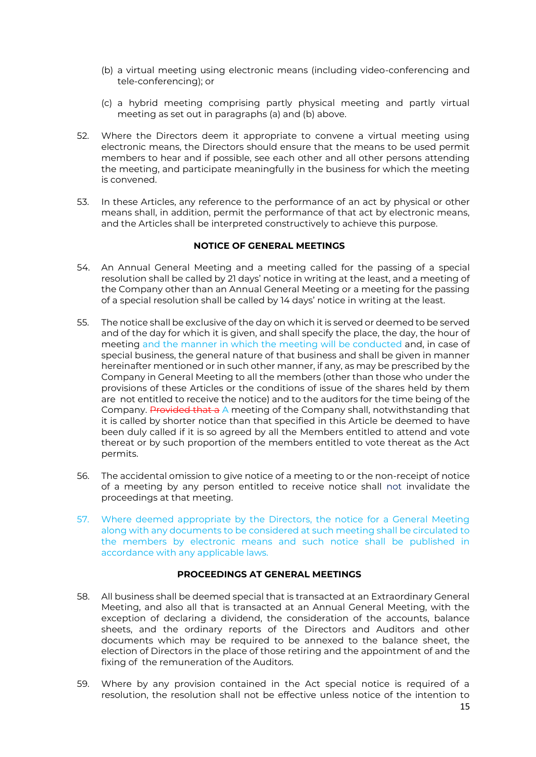- (b) a virtual meeting using electronic means (including video-conferencing and tele-conferencing); or
- (c) a hybrid meeting comprising partly physical meeting and partly virtual meeting as set out in paragraphs (a) and (b) above.
- 52. Where the Directors deem it appropriate to convene a virtual meeting using electronic means, the Directors should ensure that the means to be used permit members to hear and if possible, see each other and all other persons attending the meeting, and participate meaningfully in the business for which the meeting is convened.
- 53. In these Articles, any reference to the performance of an act by physical or other means shall, in addition, permit the performance of that act by electronic means, and the Articles shall be interpreted constructively to achieve this purpose.

# **NOTICE OF GENERAL MEETINGS**

- 54. An Annual General Meeting and a meeting called for the passing of a special resolution shall be called by 21 days' notice in writing at the least, and a meeting of the Company other than an Annual General Meeting or a meeting for the passing of a special resolution shall be called by 14 days' notice in writing at the least.
- 55. The notice shall be exclusive of the day on which it is served or deemed to be served and of the day for which it is given, and shall specify the place, the day, the hour of meeting and the manner in which the meeting will be conducted and, in case of special business, the general nature of that business and shall be given in manner hereinafter mentioned or in such other manner, if any, as may be prescribed by the Company in General Meeting to all the members (other than those who under the provisions of these Articles or the conditions of issue of the shares held by them are not entitled to receive the notice) and to the auditors for the time being of the Company. Provided that a A meeting of the Company shall, notwithstanding that it is called by shorter notice than that specified in this Article be deemed to have been duly called if it is so agreed by all the Members entitled to attend and vote thereat or by such proportion of the members entitled to vote thereat as the Act permits.
- 56. The accidental omission to give notice of a meeting to or the non-receipt of notice of a meeting by any person entitled to receive notice shall not invalidate the proceedings at that meeting.
- 57. Where deemed appropriate by the Directors, the notice for a General Meeting along with any documents to be considered at such meeting shall be circulated to the members by electronic means and such notice shall be published in accordance with any applicable laws.

# **PROCEEDINGS AT GENERAL MEETINGS**

- 58. All business shall be deemed special that is transacted at an Extraordinary General Meeting, and also all that is transacted at an Annual General Meeting, with the exception of declaring a dividend, the consideration of the accounts, balance sheets, and the ordinary reports of the Directors and Auditors and other documents which may be required to be annexed to the balance sheet, the election of Directors in the place of those retiring and the appointment of and the fixing of the remuneration of the Auditors.
- 59. Where by any provision contained in the Act special notice is required of a resolution, the resolution shall not be effective unless notice of the intention to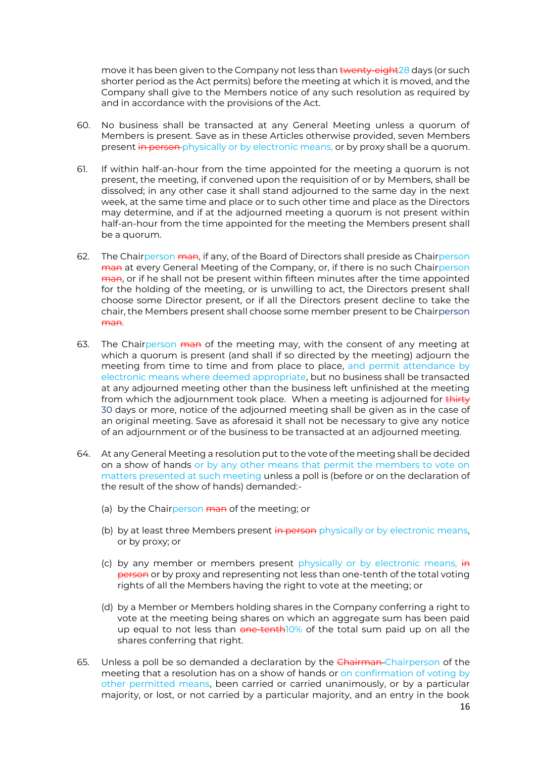move it has been given to the Company not less than twenty-eight28 days (or such shorter period as the Act permits) before the meeting at which it is moved, and the Company shall give to the Members notice of any such resolution as required by and in accordance with the provisions of the Act.

- 60. No business shall be transacted at any General Meeting unless a quorum of Members is present. Save as in these Articles otherwise provided, seven Members present in person physically or by electronic means, or by proxy shall be a quorum.
- 61. If within half-an-hour from the time appointed for the meeting a quorum is not present, the meeting, if convened upon the requisition of or by Members, shall be dissolved; in any other case it shall stand adjourned to the same day in the next week, at the same time and place or to such other time and place as the Directors may determine, and if at the adjourned meeting a quorum is not present within half-an-hour from the time appointed for the meeting the Members present shall be a quorum.
- 62. The Chairperson man, if any, of the Board of Directors shall preside as Chairperson man at every General Meeting of the Company, or, if there is no such Chairperson man, or if he shall not be present within fifteen minutes after the time appointed for the holding of the meeting, or is unwilling to act, the Directors present shall choose some Director present, or if all the Directors present decline to take the chair, the Members present shall choose some member present to be Chairperson man.
- 63. The Chairperson man of the meeting may, with the consent of any meeting at which a quorum is present (and shall if so directed by the meeting) adjourn the meeting from time to time and from place to place, and permit attendance by electronic means where deemed appropriate, but no business shall be transacted at any adjourned meeting other than the business left unfinished at the meeting from which the adjournment took place. When a meeting is adjourned for thirty 30 days or more, notice of the adjourned meeting shall be given as in the case of an original meeting. Save as aforesaid it shall not be necessary to give any notice of an adjournment or of the business to be transacted at an adjourned meeting.
- 64. At any General Meeting a resolution put to the vote of the meeting shall be decided on a show of hands or by any other means that permit the members to vote on matters presented at such meeting unless a poll is (before or on the declaration of the result of the show of hands) demanded:-
	- (a) by the Chairperson man of the meeting; or
	- (b) by at least three Members present in person physically or by electronic means, or by proxy; or
	- (c) by any member or members present physically or by electronic means, in person or by proxy and representing not less than one-tenth of the total voting rights of all the Members having the right to vote at the meeting; or
	- (d) by a Member or Members holding shares in the Company conferring a right to vote at the meeting being shares on which an aggregate sum has been paid up equal to not less than one-tenth10% of the total sum paid up on all the shares conferring that right.
- 65. Unless a poll be so demanded a declaration by the Chairman Chairperson of the meeting that a resolution has on a show of hands or on confirmation of voting by other permitted means, been carried or carried unanimously, or by a particular majority, or lost, or not carried by a particular majority, and an entry in the book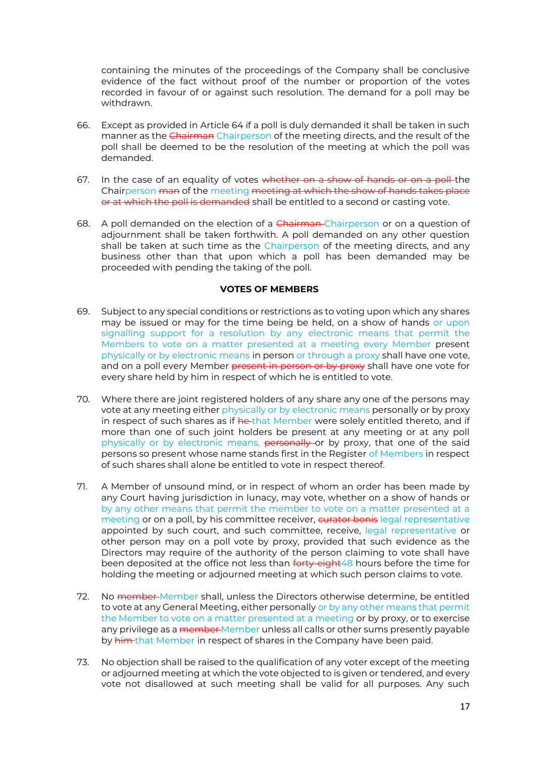containing the minutes of the proceedings of the Company shall be conclusive evidence of the fact without proof of the number or proportion of the votes recorded in favour of or against such resolution. The demand for a poll may be withdrawn.

- 66. Except as provided in Article 64 if a poll is duly demanded it shall be taken in such manner as the Chairman Chairperson of the meeting directs, and the result of the poll shall be deemed to be the resolution of the meeting at which the poll was demanded.
- 67. In the case of an equality of votes whether on a show of hands or on a poll-the Chairperson man of the meeting meeting at which the show of hands takes place or at which the poll is demanded shall be entitled to a second or casting vote.
- 68. A poll demanded on the election of a Chairman-Chairperson or on a question of adjournment shall be taken forthwith. A poll demanded on any other question shall be taken at such time as the Chairperson of the meeting directs, and any business other than that upon which a poll has been demanded may be proceeded with pending the taking of the poll.

# **VOTES OF MEMBERS**

- 69. Subject to any special conditions or restrictions as to voting upon which any shares may be issued or may for the time being be held, on a show of hands or upon signalling support for a resolution by any electronic means that permit the Members to vote on a matter presented at a meeting every Member present physically or by electronic means in person or through a proxy shall have one vote, and on a poll every Member present in person or by proxy shall have one vote for every share held by him in respect of which he is entitled to vote.
- 70. Where there are joint registered holders of any share any one of the persons may vote at any meeting either physically or by electronic means personally or by proxy in respect of such shares as if he that Member were solely entitled thereto, and if more than one of such joint holders be present at any meeting or at any poll physically or by electronic means, personally or by proxy, that one of the said persons so present whose name stands first in the Register of Members in respect of such shares shall alone be entitled to vote in respect thereof.
- 71. A Member of unsound mind, or in respect of whom an order has been made by any Court having jurisdiction in lunacy, may vote, whether on a show of hands or by any other means that permit the member to vote on a matter presented at a meeting or on a poll, by his committee receiver, eurator bonis legal representative appointed by such court, and such committee, receive, legal representative or other person may on a poll vote by proxy, provided that such evidence as the Directors may require of the authority of the person claiming to vote shall have been deposited at the office not less than forty eight48 hours before the time for holding the meeting or adjourned meeting at which such person claims to vote.
- 72. No member-Member shall, unless the Directors otherwise determine, be entitled to vote at any General Meeting, either personally or by any other means that permit the Member to vote on a matter presented at a meeting or by proxy, or to exercise any privilege as a member-Member unless all calls or other sums presently payable by him that Member in respect of shares in the Company have been paid.
- 73. No objection shall be raised to the qualification of any voter except of the meeting or adjourned meeting at which the vote objected to is given or tendered, and every vote not disallowed at such meeting shall be valid for all purposes. Any such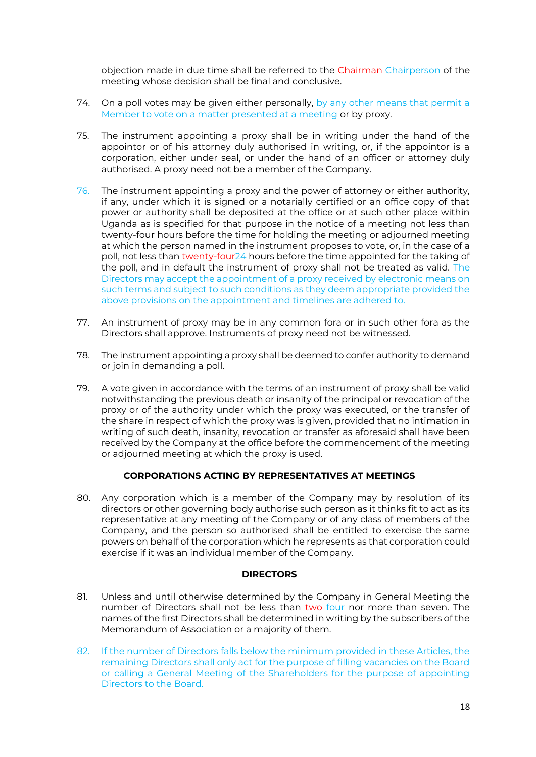objection made in due time shall be referred to the Chairman Chairperson of the meeting whose decision shall be final and conclusive.

- 74. On a poll votes may be given either personally, by any other means that permit a Member to vote on a matter presented at a meeting or by proxy.
- 75. The instrument appointing a proxy shall be in writing under the hand of the appointor or of his attorney duly authorised in writing, or, if the appointor is a corporation, either under seal, or under the hand of an officer or attorney duly authorised. A proxy need not be a member of the Company.
- 76. The instrument appointing a proxy and the power of attorney or either authority, if any, under which it is signed or a notarially certified or an office copy of that power or authority shall be deposited at the office or at such other place within Uganda as is specified for that purpose in the notice of a meeting not less than twenty-four hours before the time for holding the meeting or adjourned meeting at which the person named in the instrument proposes to vote, or, in the case of a poll, not less than twenty-four24 hours before the time appointed for the taking of the poll, and in default the instrument of proxy shall not be treated as valid. The Directors may accept the appointment of a proxy received by electronic means on such terms and subject to such conditions as they deem appropriate provided the above provisions on the appointment and timelines are adhered to.
- 77. An instrument of proxy may be in any common fora or in such other fora as the Directors shall approve. Instruments of proxy need not be witnessed.
- 78. The instrument appointing a proxy shall be deemed to confer authority to demand or join in demanding a poll.
- 79. A vote given in accordance with the terms of an instrument of proxy shall be valid notwithstanding the previous death or insanity of the principal or revocation of the proxy or of the authority under which the proxy was executed, or the transfer of the share in respect of which the proxy was is given, provided that no intimation in writing of such death, insanity, revocation or transfer as aforesaid shall have been received by the Company at the office before the commencement of the meeting or adjourned meeting at which the proxy is used.

# **CORPORATIONS ACTING BY REPRESENTATIVES AT MEETINGS**

80. Any corporation which is a member of the Company may by resolution of its directors or other governing body authorise such person as it thinks fit to act as its representative at any meeting of the Company or of any class of members of the Company, and the person so authorised shall be entitled to exercise the same powers on behalf of the corporation which he represents as that corporation could exercise if it was an individual member of the Company.

# **DIRECTORS**

- 81. Unless and until otherwise determined by the Company in General Meeting the number of Directors shall not be less than two-four nor more than seven. The names of the first Directors shall be determined in writing by the subscribers of the Memorandum of Association or a majority of them.
- 82. If the number of Directors falls below the minimum provided in these Articles, the remaining Directors shall only act for the purpose of filling vacancies on the Board or calling a General Meeting of the Shareholders for the purpose of appointing Directors to the Board.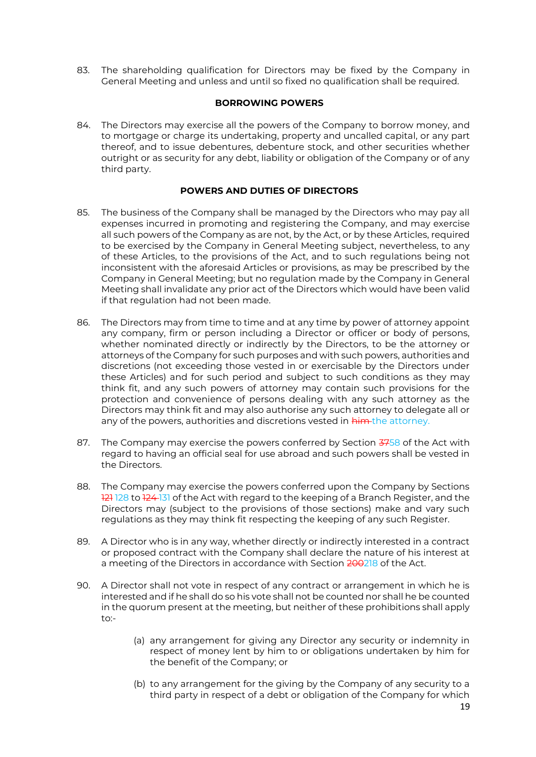83. The shareholding qualification for Directors may be fixed by the Company in General Meeting and unless and until so fixed no qualification shall be required.

### **BORROWING POWERS**

84. The Directors may exercise all the powers of the Company to borrow money, and to mortgage or charge its undertaking, property and uncalled capital, or any part thereof, and to issue debentures, debenture stock, and other securities whether outright or as security for any debt, liability or obligation of the Company or of any third party.

# **POWERS AND DUTIES OF DIRECTORS**

- 85. The business of the Company shall be managed by the Directors who may pay all expenses incurred in promoting and registering the Company, and may exercise all such powers of the Company as are not, by the Act, or by these Articles, required to be exercised by the Company in General Meeting subject, nevertheless, to any of these Articles, to the provisions of the Act, and to such regulations being not inconsistent with the aforesaid Articles or provisions, as may be prescribed by the Company in General Meeting; but no regulation made by the Company in General Meeting shall invalidate any prior act of the Directors which would have been valid if that regulation had not been made.
- 86. The Directors may from time to time and at any time by power of attorney appoint any company, firm or person including a Director or officer or body of persons, whether nominated directly or indirectly by the Directors, to be the attorney or attorneys of the Company for such purposes and with such powers, authorities and discretions (not exceeding those vested in or exercisable by the Directors under these Articles) and for such period and subject to such conditions as they may think fit, and any such powers of attorney may contain such provisions for the protection and convenience of persons dealing with any such attorney as the Directors may think fit and may also authorise any such attorney to delegate all or any of the powers, authorities and discretions vested in him the attorney.
- 87. The Company may exercise the powers conferred by Section 3758 of the Act with regard to having an official seal for use abroad and such powers shall be vested in the Directors.
- 88. The Company may exercise the powers conferred upon the Company by Sections 121 128 to 124 131 of the Act with regard to the keeping of a Branch Register, and the Directors may (subject to the provisions of those sections) make and vary such regulations as they may think fit respecting the keeping of any such Register.
- 89. A Director who is in any way, whether directly or indirectly interested in a contract or proposed contract with the Company shall declare the nature of his interest at a meeting of the Directors in accordance with Section 200218 of the Act.
- 90. A Director shall not vote in respect of any contract or arrangement in which he is interested and if he shall do so his vote shall not be counted nor shall he be counted in the quorum present at the meeting, but neither of these prohibitions shall apply to:-
	- (a) any arrangement for giving any Director any security or indemnity in respect of money lent by him to or obligations undertaken by him for the benefit of the Company; or
	- (b) to any arrangement for the giving by the Company of any security to a third party in respect of a debt or obligation of the Company for which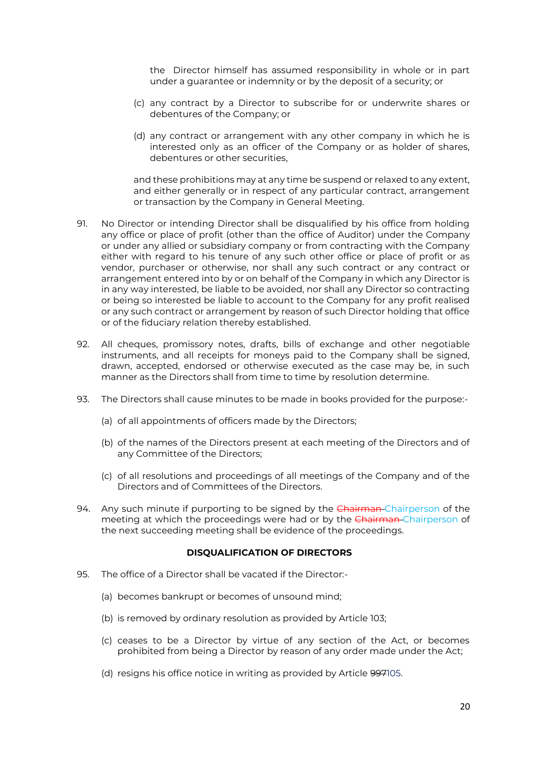the Director himself has assumed responsibility in whole or in part under a guarantee or indemnity or by the deposit of a security; or

- (c) any contract by a Director to subscribe for or underwrite shares or debentures of the Company; or
- (d) any contract or arrangement with any other company in which he is interested only as an officer of the Company or as holder of shares, debentures or other securities,

and these prohibitions may at any time be suspend or relaxed to any extent, and either generally or in respect of any particular contract, arrangement or transaction by the Company in General Meeting.

- 91. No Director or intending Director shall be disqualified by his office from holding any office or place of profit (other than the office of Auditor) under the Company or under any allied or subsidiary company or from contracting with the Company either with regard to his tenure of any such other office or place of profit or as vendor, purchaser or otherwise, nor shall any such contract or any contract or arrangement entered into by or on behalf of the Company in which any Director is in any way interested, be liable to be avoided, nor shall any Director so contracting or being so interested be liable to account to the Company for any profit realised or any such contract or arrangement by reason of such Director holding that office or of the fiduciary relation thereby established.
- 92. All cheques, promissory notes, drafts, bills of exchange and other negotiable instruments, and all receipts for moneys paid to the Company shall be signed, drawn, accepted, endorsed or otherwise executed as the case may be, in such manner as the Directors shall from time to time by resolution determine.
- 93. The Directors shall cause minutes to be made in books provided for the purpose:-
	- (a) of all appointments of officers made by the Directors;
	- (b) of the names of the Directors present at each meeting of the Directors and of any Committee of the Directors;
	- (c) of all resolutions and proceedings of all meetings of the Company and of the Directors and of Committees of the Directors.
- 94. Any such minute if purporting to be signed by the Chairman-Chairperson of the meeting at which the proceedings were had or by the Chairman-Chairperson of the next succeeding meeting shall be evidence of the proceedings.

#### **DISQUALIFICATION OF DIRECTORS**

- 95. The office of a Director shall be vacated if the Director:-
	- (a) becomes bankrupt or becomes of unsound mind;
	- (b) is removed by ordinary resolution as provided by Article 103;
	- (c) ceases to be a Director by virtue of any section of the Act, or becomes prohibited from being a Director by reason of any order made under the Act;
	- (d) resigns his office notice in writing as provided by Article 997105.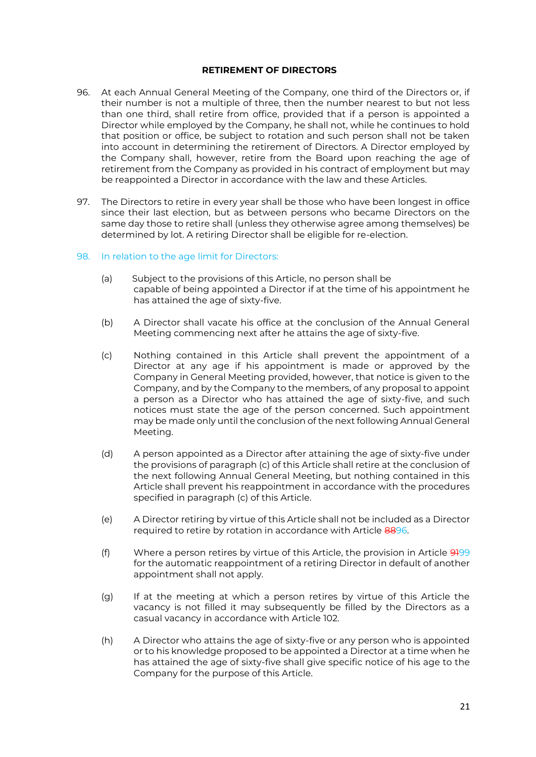### **RETIREMENT OF DIRECTORS**

- 96. At each Annual General Meeting of the Company, one third of the Directors or, if their number is not a multiple of three, then the number nearest to but not less than one third, shall retire from office, provided that if a person is appointed a Director while employed by the Company, he shall not, while he continues to hold that position or office, be subject to rotation and such person shall not be taken into account in determining the retirement of Directors. A Director employed by the Company shall, however, retire from the Board upon reaching the age of retirement from the Company as provided in his contract of employment but may be reappointed a Director in accordance with the law and these Articles.
- 97. The Directors to retire in every year shall be those who have been longest in office since their last election, but as between persons who became Directors on the same day those to retire shall (unless they otherwise agree among themselves) be determined by lot. A retiring Director shall be eligible for re-election.

### 98. In relation to the age limit for Directors:

- (a) Subject to the provisions of this Article, no person shall be capable of being appointed a Director if at the time of his appointment he has attained the age of sixty-five.
- (b) A Director shall vacate his office at the conclusion of the Annual General Meeting commencing next after he attains the age of sixty-five.
- (c) Nothing contained in this Article shall prevent the appointment of a Director at any age if his appointment is made or approved by the Company in General Meeting provided, however, that notice is given to the Company, and by the Company to the members, of any proposal to appoint a person as a Director who has attained the age of sixty-five, and such notices must state the age of the person concerned. Such appointment may be made only until the conclusion of the next following Annual General Meeting.
- (d) A person appointed as a Director after attaining the age of sixty-five under the provisions of paragraph (c) of this Article shall retire at the conclusion of the next following Annual General Meeting, but nothing contained in this Article shall prevent his reappointment in accordance with the procedures specified in paragraph (c) of this Article.
- (e) A Director retiring by virtue of this Article shall not be included as a Director required to retire by rotation in accordance with Article 8896.
- (f) Where a person retires by virtue of this Article, the provision in Article  $\frac{91}{99}$ for the automatic reappointment of a retiring Director in default of another appointment shall not apply.
- (g) If at the meeting at which a person retires by virtue of this Article the vacancy is not filled it may subsequently be filled by the Directors as a casual vacancy in accordance with Article 102.
- (h) A Director who attains the age of sixty-five or any person who is appointed or to his knowledge proposed to be appointed a Director at a time when he has attained the age of sixty-five shall give specific notice of his age to the Company for the purpose of this Article.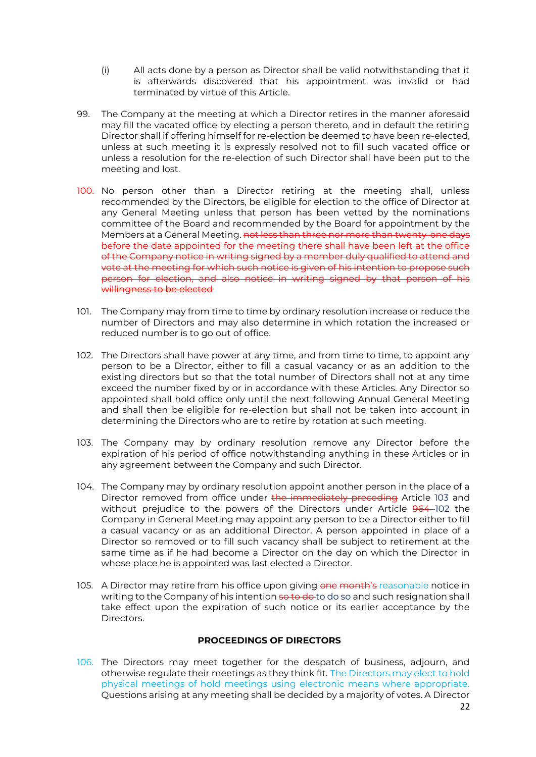- (i) All acts done by a person as Director shall be valid notwithstanding that it is afterwards discovered that his appointment was invalid or had terminated by virtue of this Article.
- 99. The Company at the meeting at which a Director retires in the manner aforesaid may fill the vacated office by electing a person thereto, and in default the retiring Director shall if offering himself for re-election be deemed to have been re-elected, unless at such meeting it is expressly resolved not to fill such vacated office or unless a resolution for the re-election of such Director shall have been put to the meeting and lost.
- 100. No person other than a Director retiring at the meeting shall, unless recommended by the Directors, be eligible for election to the office of Director at any General Meeting unless that person has been vetted by the nominations committee of the Board and recommended by the Board for appointment by the Members at a General Meeting. <del>not less than three nor more than twenty-one days</del> before the date appointed for the meeting there shall have been left at the office of the Company notice in writing signed by a member duly qualified to attend and vote at the meeting for which such notice is given of his intention to propose such person for election, and also notice in writing signed by that person of his willingness to be elected
- 101. The Company may from time to time by ordinary resolution increase or reduce the number of Directors and may also determine in which rotation the increased or reduced number is to go out of office.
- 102. The Directors shall have power at any time, and from time to time, to appoint any person to be a Director, either to fill a casual vacancy or as an addition to the existing directors but so that the total number of Directors shall not at any time exceed the number fixed by or in accordance with these Articles. Any Director so appointed shall hold office only until the next following Annual General Meeting and shall then be eligible for re-election but shall not be taken into account in determining the Directors who are to retire by rotation at such meeting.
- 103. The Company may by ordinary resolution remove any Director before the expiration of his period of office notwithstanding anything in these Articles or in any agreement between the Company and such Director.
- 104. The Company may by ordinary resolution appoint another person in the place of a Director removed from office under the immediately preceding Article 103 and without prejudice to the powers of the Directors under Article 964-102 the Company in General Meeting may appoint any person to be a Director either to fill a casual vacancy or as an additional Director. A person appointed in place of a Director so removed or to fill such vacancy shall be subject to retirement at the same time as if he had become a Director on the day on which the Director in whose place he is appointed was last elected a Director.
- 105. A Director may retire from his office upon giving one month's reasonable notice in writing to the Company of his intention so to do to do so and such resignation shall take effect upon the expiration of such notice or its earlier acceptance by the Directors.

# **PROCEEDINGS OF DIRECTORS**

106. The Directors may meet together for the despatch of business, adjourn, and otherwise regulate their meetings as they think fit. The Directors may elect to hold physical meetings of hold meetings using electronic means where appropriate. Questions arising at any meeting shall be decided by a majority of votes. A Director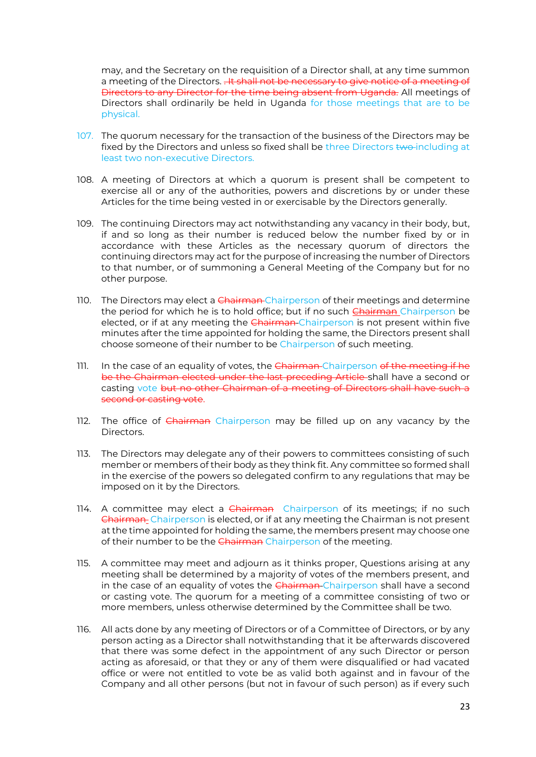may, and the Secretary on the requisition of a Director shall, at any time summon a meeting of the Directors. <del>. It shall not be necessary to give notice of a meeting of</del> Directors to any Director for the time being absent from Uganda. All meetings of Directors shall ordinarily be held in Uganda for those meetings that are to be physical.

- 107. The quorum necessary for the transaction of the business of the Directors may be fixed by the Directors and unless so fixed shall be three Directors two-including at least two non-executive Directors.
- 108. A meeting of Directors at which a quorum is present shall be competent to exercise all or any of the authorities, powers and discretions by or under these Articles for the time being vested in or exercisable by the Directors generally.
- 109. The continuing Directors may act notwithstanding any vacancy in their body, but, if and so long as their number is reduced below the number fixed by or in accordance with these Articles as the necessary quorum of directors the continuing directors may act for the purpose of increasing the number of Directors to that number, or of summoning a General Meeting of the Company but for no other purpose.
- 110. The Directors may elect a <del>Chairman</del> Chairperson of their meetings and determine the period for which he is to hold office; but if no such Chairman Chairperson be elected, or if at any meeting the Chairman Chairperson is not present within five minutes after the time appointed for holding the same, the Directors present shall choose someone of their number to be Chairperson of such meeting.
- 111. In the case of an equality of votes, the Chairman Chairperson of the meeting if he be the Chairman elected under the last preceding Article shall have a second or casting vote but no other Chairman of a meeting of Directors shall have such a second or casting vote.
- 112. The office of Chairman Chairperson may be filled up on any vacancy by the Directors.
- 113. The Directors may delegate any of their powers to committees consisting of such member or members of their body as they think fit. Any committee so formed shall in the exercise of the powers so delegated confirm to any regulations that may be imposed on it by the Directors.
- 114. A committee may elect a Chairman Chairperson of its meetings; if no such Chairman Chairperson is elected, or if at any meeting the Chairman is not present at the time appointed for holding the same, the members present may choose one of their number to be the Chairman Chairperson of the meeting.
- 115. A committee may meet and adjourn as it thinks proper, Questions arising at any meeting shall be determined by a majority of votes of the members present, and in the case of an equality of votes the Chairman-Chairperson shall have a second or casting vote. The quorum for a meeting of a committee consisting of two or more members, unless otherwise determined by the Committee shall be two.
- 116. All acts done by any meeting of Directors or of a Committee of Directors, or by any person acting as a Director shall notwithstanding that it be afterwards discovered that there was some defect in the appointment of any such Director or person acting as aforesaid, or that they or any of them were disqualified or had vacated office or were not entitled to vote be as valid both against and in favour of the Company and all other persons (but not in favour of such person) as if every such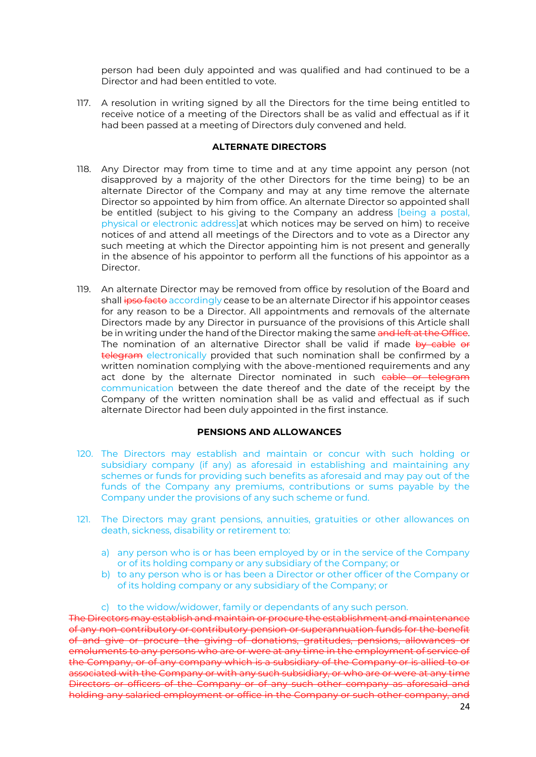person had been duly appointed and was qualified and had continued to be a Director and had been entitled to vote.

117. A resolution in writing signed by all the Directors for the time being entitled to receive notice of a meeting of the Directors shall be as valid and effectual as if it had been passed at a meeting of Directors duly convened and held.

# **ALTERNATE DIRECTORS**

- 118. Any Director may from time to time and at any time appoint any person (not disapproved by a majority of the other Directors for the time being) to be an alternate Director of the Company and may at any time remove the alternate Director so appointed by him from office. An alternate Director so appointed shall be entitled (subject to his giving to the Company an address [being a postal, physical or electronic address]at which notices may be served on him) to receive notices of and attend all meetings of the Directors and to vote as a Director any such meeting at which the Director appointing him is not present and generally in the absence of his appointor to perform all the functions of his appointor as a Director.
- 119. An alternate Director may be removed from office by resolution of the Board and shall ipso facto accordingly cease to be an alternate Director if his appointor ceases for any reason to be a Director. All appointments and removals of the alternate Directors made by any Director in pursuance of the provisions of this Article shall be in writing under the hand of the Director making the same and left at the Office. The nomination of an alternative Director shall be valid if made by cable or telegram electronically provided that such nomination shall be confirmed by a written nomination complying with the above-mentioned requirements and any act done by the alternate Director nominated in such cable or telegram communication between the date thereof and the date of the receipt by the Company of the written nomination shall be as valid and effectual as if such alternate Director had been duly appointed in the first instance.

# **PENSIONS AND ALLOWANCES**

- 120. The Directors may establish and maintain or concur with such holding or subsidiary company (if any) as aforesaid in establishing and maintaining any schemes or funds for providing such benefits as aforesaid and may pay out of the funds of the Company any premiums, contributions or sums payable by the Company under the provisions of any such scheme or fund.
- 121. The Directors may grant pensions, annuities, gratuities or other allowances on death, sickness, disability or retirement to:
	- a) any person who is or has been employed by or in the service of the Company or of its holding company or any subsidiary of the Company; or
	- b) to any person who is or has been a Director or other officer of the Company or of its holding company or any subsidiary of the Company; or
	- c) to the widow/widower, family or dependants of any such person.

The Directors may establish and maintain or procure the establishment and maintenance of any non-contributory or contributory pension or superannuation funds for the benefit of and give or procure the giving of donations, gratitudes, pensions, allowances or emoluments to any persons who are or were at any time in the employment of service of the Company, or of any company which is a subsidiary of the Company or is allied to or associated with the Company or with any such subsidiary, or who are or were at any time Directors or officers of the Company or of any such other company as aforesaid and holding any salaried employment or office in the Company or such other company, and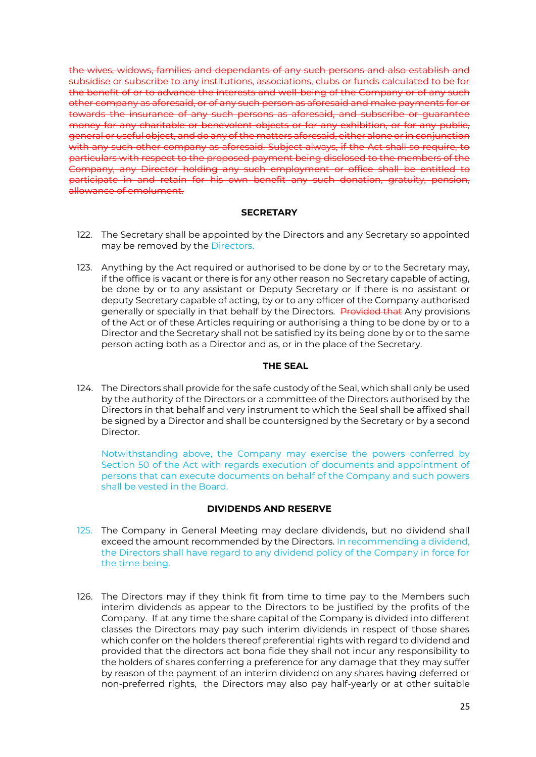the wives, widows, families and dependants of any such persons and also establish and subsidise or subscribe to any institutions, associations, clubs or funds calculated to be for the benefit of or to advance the interests and well-being of the Company or of any such other company as aforesaid, or of any such person as aforesaid and make payments for or towards the insurance of any such persons as aforesaid, and subscribe or guarantee money for any charitable or benevolent objects or for any exhibition, or for any public, general or useful object, and do any of the matters aforesaid, either alone or in conjunction with any such other company as aforesaid. Subject always, if the Act shall so require, to particulars with respect to the proposed payment being disclosed to the members of the Company, any Director holding any such employment or office shall be entitled to participate in and retain for his own benefit any such donation, gratuity, pension, allowance of emolument.

### **SECRETARY**

- 122. The Secretary shall be appointed by the Directors and any Secretary so appointed may be removed by the Directors.
- 123. Anything by the Act required or authorised to be done by or to the Secretary may, if the office is vacant or there is for any other reason no Secretary capable of acting, be done by or to any assistant or Deputy Secretary or if there is no assistant or deputy Secretary capable of acting, by or to any officer of the Company authorised generally or specially in that behalf by the Directors. Provided that Any provisions of the Act or of these Articles requiring or authorising a thing to be done by or to a Director and the Secretary shall not be satisfied by its being done by or to the same person acting both as a Director and as, or in the place of the Secretary.

### **THE SEAL**

124. The Directors shall provide for the safe custody of the Seal, which shall only be used by the authority of the Directors or a committee of the Directors authorised by the Directors in that behalf and very instrument to which the Seal shall be affixed shall be signed by a Director and shall be countersigned by the Secretary or by a second Director.

Notwithstanding above, the Company may exercise the powers conferred by Section 50 of the Act with regards execution of documents and appointment of persons that can execute documents on behalf of the Company and such powers shall be vested in the Board.

# **DIVIDENDS AND RESERVE**

- 125. The Company in General Meeting may declare dividends, but no dividend shall exceed the amount recommended by the Directors. In recommending a dividend, the Directors shall have regard to any dividend policy of the Company in force for the time being.
- 126. The Directors may if they think fit from time to time pay to the Members such interim dividends as appear to the Directors to be justified by the profits of the Company. If at any time the share capital of the Company is divided into different classes the Directors may pay such interim dividends in respect of those shares which confer on the holders thereof preferential rights with regard to dividend and provided that the directors act bona fide they shall not incur any responsibility to the holders of shares conferring a preference for any damage that they may suffer by reason of the payment of an interim dividend on any shares having deferred or non-preferred rights, the Directors may also pay half-yearly or at other suitable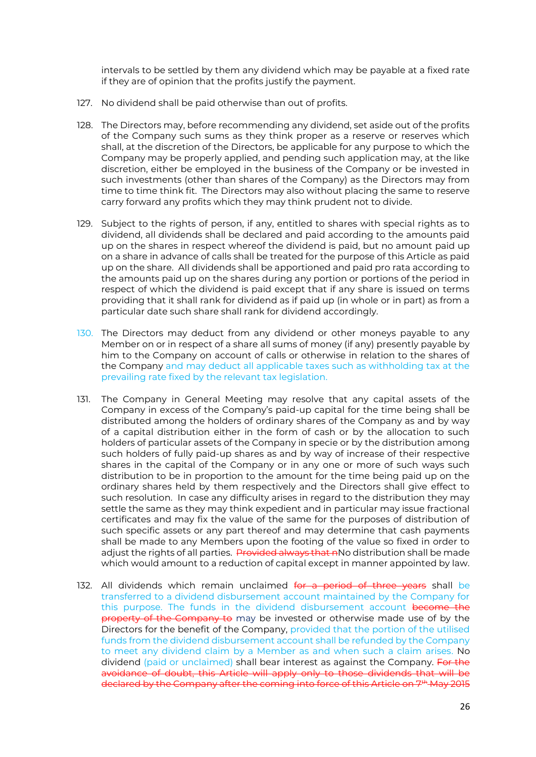intervals to be settled by them any dividend which may be payable at a fixed rate if they are of opinion that the profits justify the payment.

- 127. No dividend shall be paid otherwise than out of profits.
- 128. The Directors may, before recommending any dividend, set aside out of the profits of the Company such sums as they think proper as a reserve or reserves which shall, at the discretion of the Directors, be applicable for any purpose to which the Company may be properly applied, and pending such application may, at the like discretion, either be employed in the business of the Company or be invested in such investments (other than shares of the Company) as the Directors may from time to time think fit. The Directors may also without placing the same to reserve carry forward any profits which they may think prudent not to divide.
- 129. Subject to the rights of person, if any, entitled to shares with special rights as to dividend, all dividends shall be declared and paid according to the amounts paid up on the shares in respect whereof the dividend is paid, but no amount paid up on a share in advance of calls shall be treated for the purpose of this Article as paid up on the share. All dividends shall be apportioned and paid pro rata according to the amounts paid up on the shares during any portion or portions of the period in respect of which the dividend is paid except that if any share is issued on terms providing that it shall rank for dividend as if paid up (in whole or in part) as from a particular date such share shall rank for dividend accordingly.
- 130. The Directors may deduct from any dividend or other moneys payable to any Member on or in respect of a share all sums of money (if any) presently payable by him to the Company on account of calls or otherwise in relation to the shares of the Company and may deduct all applicable taxes such as withholding tax at the prevailing rate fixed by the relevant tax legislation.
- 131. The Company in General Meeting may resolve that any capital assets of the Company in excess of the Company's paid-up capital for the time being shall be distributed among the holders of ordinary shares of the Company as and by way of a capital distribution either in the form of cash or by the allocation to such holders of particular assets of the Company in specie or by the distribution among such holders of fully paid-up shares as and by way of increase of their respective shares in the capital of the Company or in any one or more of such ways such distribution to be in proportion to the amount for the time being paid up on the ordinary shares held by them respectively and the Directors shall give effect to such resolution. In case any difficulty arises in regard to the distribution they may settle the same as they may think expedient and in particular may issue fractional certificates and may fix the value of the same for the purposes of distribution of such specific assets or any part thereof and may determine that cash payments shall be made to any Members upon the footing of the value so fixed in order to adjust the rights of all parties. Provided always that nNo distribution shall be made which would amount to a reduction of capital except in manner appointed by law.
- 132. All dividends which remain unclaimed for a period of three years shall be transferred to a dividend disbursement account maintained by the Company for this purpose. The funds in the dividend disbursement account become the property of the Company to may be invested or otherwise made use of by the Directors for the benefit of the Company, provided that the portion of the utilised funds from the dividend disbursement account shall be refunded by the Company to meet any dividend claim by a Member as and when such a claim arises. No dividend (paid or unclaimed) shall bear interest as against the Company. For the avoidance of doubt, this Article will apply only to those dividends that will be declared by the Company after the coming into force of this Article on 7<sup>th</sup> May 2015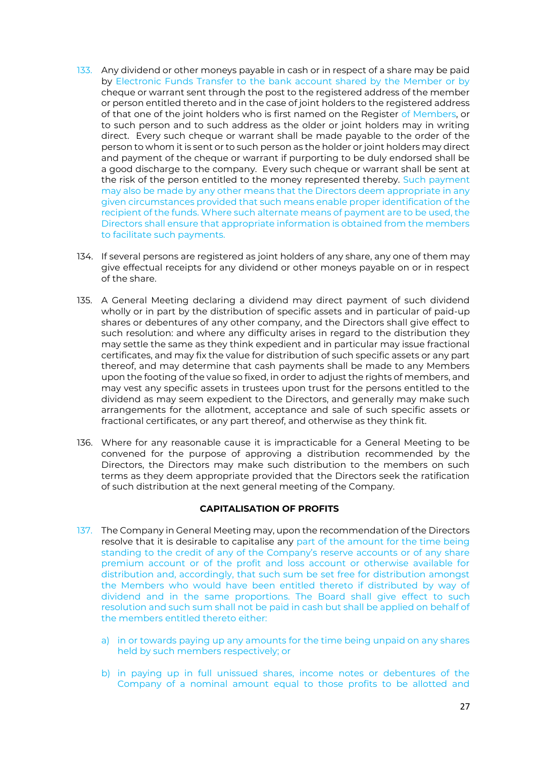- 133. Any dividend or other moneys payable in cash or in respect of a share may be paid by Electronic Funds Transfer to the bank account shared by the Member or by cheque or warrant sent through the post to the registered address of the member or person entitled thereto and in the case of joint holders to the registered address of that one of the joint holders who is first named on the Register of Members, or to such person and to such address as the older or joint holders may in writing direct. Every such cheque or warrant shall be made payable to the order of the person to whom it is sent or to such person as the holder or joint holders may direct and payment of the cheque or warrant if purporting to be duly endorsed shall be a good discharge to the company. Every such cheque or warrant shall be sent at the risk of the person entitled to the money represented thereby. Such payment may also be made by any other means that the Directors deem appropriate in any given circumstances provided that such means enable proper identification of the recipient of the funds. Where such alternate means of payment are to be used, the Directors shall ensure that appropriate information is obtained from the members to facilitate such payments.
- 134. If several persons are registered as joint holders of any share, any one of them may give effectual receipts for any dividend or other moneys payable on or in respect of the share.
- 135. A General Meeting declaring a dividend may direct payment of such dividend wholly or in part by the distribution of specific assets and in particular of paid-up shares or debentures of any other company, and the Directors shall give effect to such resolution: and where any difficulty arises in regard to the distribution they may settle the same as they think expedient and in particular may issue fractional certificates, and may fix the value for distribution of such specific assets or any part thereof, and may determine that cash payments shall be made to any Members upon the footing of the value so fixed, in order to adjust the rights of members, and may vest any specific assets in trustees upon trust for the persons entitled to the dividend as may seem expedient to the Directors, and generally may make such arrangements for the allotment, acceptance and sale of such specific assets or fractional certificates, or any part thereof, and otherwise as they think fit.
- 136. Where for any reasonable cause it is impracticable for a General Meeting to be convened for the purpose of approving a distribution recommended by the Directors, the Directors may make such distribution to the members on such terms as they deem appropriate provided that the Directors seek the ratification of such distribution at the next general meeting of the Company.

# **CAPITALISATION OF PROFITS**

- 137. The Company in General Meeting may, upon the recommendation of the Directors resolve that it is desirable to capitalise any part of the amount for the time being standing to the credit of any of the Company's reserve accounts or of any share premium account or of the profit and loss account or otherwise available for distribution and, accordingly, that such sum be set free for distribution amongst the Members who would have been entitled thereto if distributed by way of dividend and in the same proportions. The Board shall give effect to such resolution and such sum shall not be paid in cash but shall be applied on behalf of the members entitled thereto either:
	- a) in or towards paying up any amounts for the time being unpaid on any shares held by such members respectively; or
	- b) in paying up in full unissued shares, income notes or debentures of the Company of a nominal amount equal to those profits to be allotted and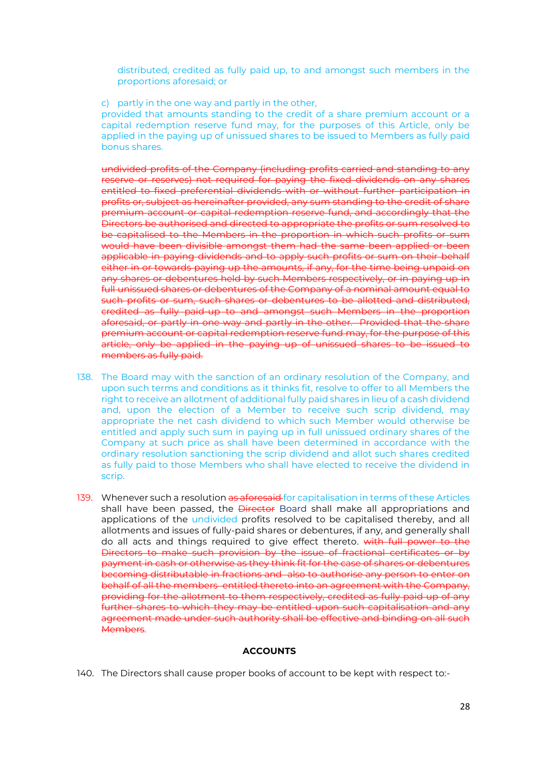distributed, credited as fully paid up, to and amongst such members in the proportions aforesaid; or

c) partly in the one way and partly in the other,

provided that amounts standing to the credit of a share premium account or a capital redemption reserve fund may, for the purposes of this Article, only be applied in the paying up of unissued shares to be issued to Members as fully paid bonus shares.

undivided profits of the Company (including profits carried and standing to any reserve or reserves) not required for paying the fixed dividends on any shares entitled to fixed preferential dividends with or without further participation in profits or, subject as hereinafter provided, any sum standing to the credit of share premium account or capital redemption reserve fund, and accordingly that the Directors be authorised and directed to appropriate the profits or sum resolved to be capitalised to the Members in the proportion in which such profits or sum would have been divisible amongst them had the same been applied or been applicable in paying dividends and to apply such profits or sum on their behalf either in or towards paying up the amounts, if any, for the time being unpaid on any shares or debentures held by such Members respectively, or in paying up in full unissued shares or debentures of the Company of a nominal amount equal to such profits or sum, such shares or debentures to be allotted and distributed, credited as fully paid-up to and amongst such Members in the proportion aforesaid, or partly in one way and partly in the other. Provided that the share premium account or capital redemption reserve fund may, for the purpose of this article, only be applied in the paying up of unissued shares to be issued to members as fully paid.

- 138. The Board may with the sanction of an ordinary resolution of the Company, and upon such terms and conditions as it thinks fit, resolve to offer to all Members the right to receive an allotment of additional fully paid shares in lieu of a cash dividend and, upon the election of a Member to receive such scrip dividend, may appropriate the net cash dividend to which such Member would otherwise be entitled and apply such sum in paying up in full unissued ordinary shares of the Company at such price as shall have been determined in accordance with the ordinary resolution sanctioning the scrip dividend and allot such shares credited as fully paid to those Members who shall have elected to receive the dividend in scrip.
- 139. Whenever such a resolution as aforesaid for capitalisation in terms of these Articles shall have been passed, the *Director* Board shall make all appropriations and applications of the undivided profits resolved to be capitalised thereby, and all allotments and issues of fully-paid shares or debentures, if any, and generally shall do all acts and things required to give effect thereto. with full power to the Directors to make such provision by the issue of fractional certificates or by payment in cash or otherwise as they think fit for the case of shares or debentures becoming distributable in fractions and also to authorise any person to enter on behalf of all the members entitled thereto into an agreement with the Company, providing for the allotment to them respectively, credited as fully paid up of any further shares to which they may be entitled upon such capitalisation and any agreement made under such authority shall be effective and binding on all such Members.

# **ACCOUNTS**

140. The Directors shall cause proper books of account to be kept with respect to:-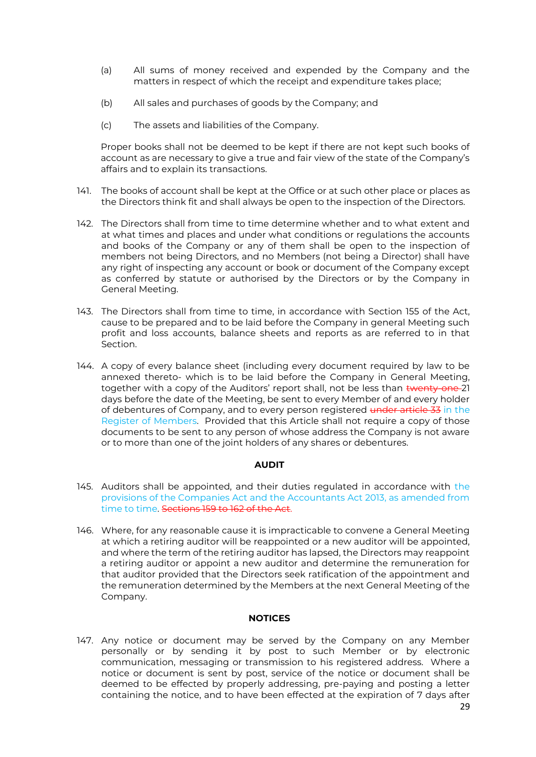- (a) All sums of money received and expended by the Company and the matters in respect of which the receipt and expenditure takes place;
- (b) All sales and purchases of goods by the Company; and
- (c) The assets and liabilities of the Company.

Proper books shall not be deemed to be kept if there are not kept such books of account as are necessary to give a true and fair view of the state of the Company's affairs and to explain its transactions.

- 141. The books of account shall be kept at the Office or at such other place or places as the Directors think fit and shall always be open to the inspection of the Directors.
- 142. The Directors shall from time to time determine whether and to what extent and at what times and places and under what conditions or regulations the accounts and books of the Company or any of them shall be open to the inspection of members not being Directors, and no Members (not being a Director) shall have any right of inspecting any account or book or document of the Company except as conferred by statute or authorised by the Directors or by the Company in General Meeting.
- 143. The Directors shall from time to time, in accordance with Section 155 of the Act, cause to be prepared and to be laid before the Company in general Meeting such profit and loss accounts, balance sheets and reports as are referred to in that Section.
- 144. A copy of every balance sheet (including every document required by law to be annexed thereto- which is to be laid before the Company in General Meeting, together with a copy of the Auditors' report shall, not be less than twenty-one-21 days before the date of the Meeting, be sent to every Member of and every holder of debentures of Company, and to every person registered under article 33 in the Register of Members. Provided that this Article shall not require a copy of those documents to be sent to any person of whose address the Company is not aware or to more than one of the joint holders of any shares or debentures.

# **AUDIT**

- 145. Auditors shall be appointed, and their duties regulated in accordance with the provisions of the Companies Act and the Accountants Act 2013, as amended from time to time. Sections 159 to 162 of the Act.
- 146. Where, for any reasonable cause it is impracticable to convene a General Meeting at which a retiring auditor will be reappointed or a new auditor will be appointed, and where the term of the retiring auditor has lapsed, the Directors may reappoint a retiring auditor or appoint a new auditor and determine the remuneration for that auditor provided that the Directors seek ratification of the appointment and the remuneration determined by the Members at the next General Meeting of the Company.

#### **NOTICES**

147. Any notice or document may be served by the Company on any Member personally or by sending it by post to such Member or by electronic communication, messaging or transmission to his registered address. Where a notice or document is sent by post, service of the notice or document shall be deemed to be effected by properly addressing, pre-paying and posting a letter containing the notice, and to have been effected at the expiration of 7 days after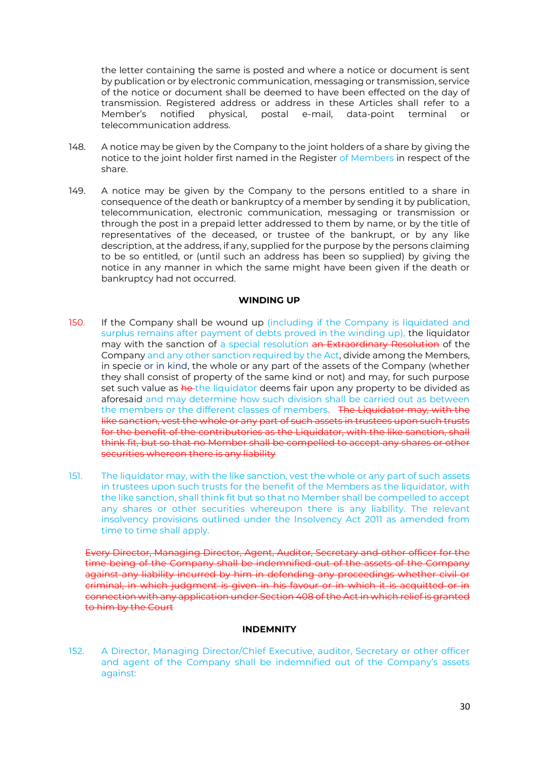the letter containing the same is posted and where a notice or document is sent by publication or by electronic communication, messaging or transmission, service of the notice or document shall be deemed to have been effected on the day of transmission. Registered address or address in these Articles shall refer to a Member's notified physical, postal e-mail, data-point terminal or telecommunication address.

- 148. A notice may be given by the Company to the joint holders of a share by giving the notice to the joint holder first named in the Register of Members in respect of the share.
- 149. A notice may be given by the Company to the persons entitled to a share in consequence of the death or bankruptcy of a member by sending it by publication, telecommunication, electronic communication, messaging or transmission or through the post in a prepaid letter addressed to them by name, or by the title of representatives of the deceased, or trustee of the bankrupt, or by any like description, at the address, if any, supplied for the purpose by the persons claiming to be so entitled, or (until such an address has been so supplied) by giving the notice in any manner in which the same might have been given if the death or bankruptcy had not occurred.

### **WINDING UP**

- 150. If the Company shall be wound up (including if the Company is liquidated and surplus remains after payment of debts proved in the winding up), the liquidator may with the sanction of a special resolution an Extraordinary Resolution of the Company and any other sanction required by the Act, divide among the Members, in specie or in kind, the whole or any part of the assets of the Company (whether they shall consist of property of the same kind or not) and may, for such purpose set such value as he-the liquidator deems fair upon any property to be divided as aforesaid and may determine how such division shall be carried out as between the members or the different classes of members. The Liquidator may, with the like sanction, vest the whole or any part of such assets in trustees upon such trusts for the benefit of the contributories as the Liquidator, with the like sanction, shall think fit, but so that no Member shall be compelled to accept any shares or other securities whereon there is any liability
- 151. The liquidator may, with the like sanction, vest the whole or any part of such assets in trustees upon such trusts for the benefit of the Members as the liquidator, with the like sanction, shall think fit but so that no Member shall be compelled to accept any shares or other securities whereupon there is any liability. The relevant insolvency provisions outlined under the Insolvency Act 2011 as amended from time to time shall apply.

Every Director, Managing Director, Agent, Auditor, Secretary and other officer for the time being of the Company shall be indemnified out of the assets of the Company against any liability incurred by him in defending any proceedings whether civil or criminal, in which judgment is given in his favour or in which it is acquitted or in connection with any application under Section 408 of the Act in which relief is granted to him by the Court

# **INDEMNITY**

152. A Director, Managing Director/Chief Executive, auditor, Secretary or other officer and agent of the Company shall be indemnified out of the Company's assets against: